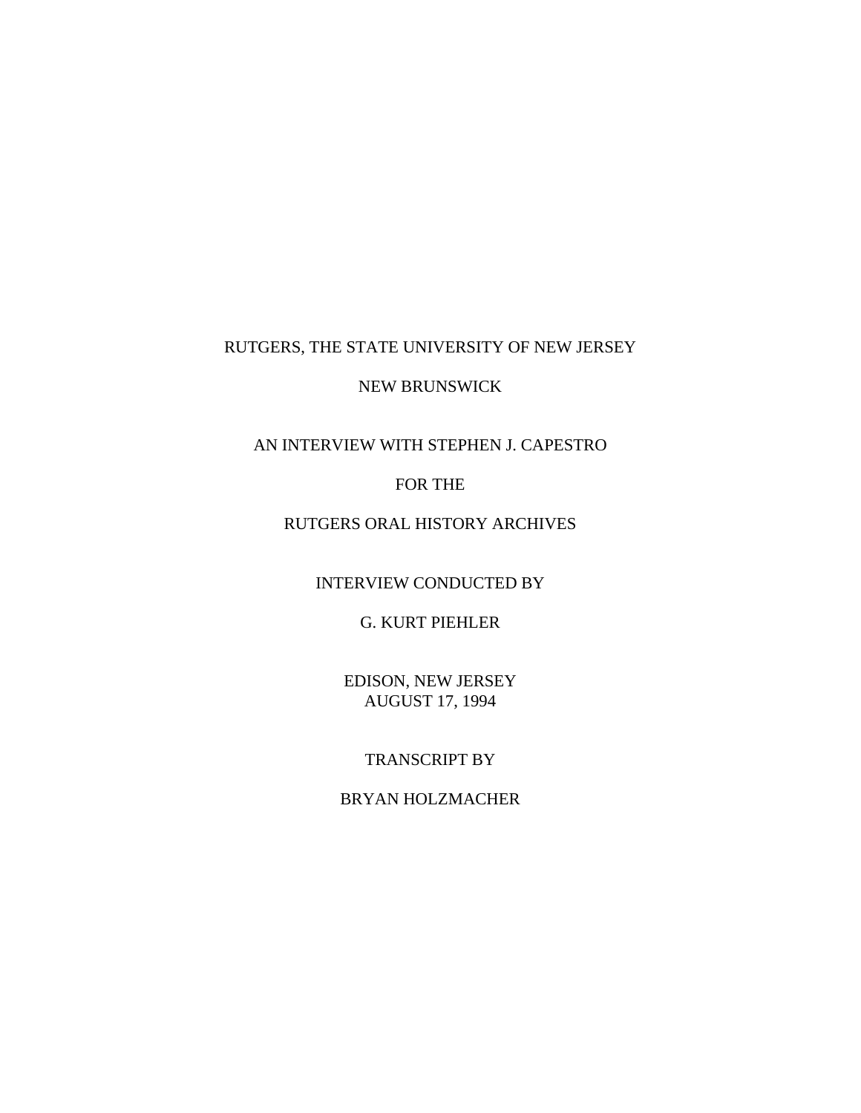## RUTGERS, THE STATE UNIVERSITY OF NEW JERSEY

# NEW BRUNSWICK

AN INTERVIEW WITH STEPHEN J. CAPESTRO

#### FOR THE

## RUTGERS ORAL HISTORY ARCHIVES

# INTERVIEW CONDUCTED BY

# G. KURT PIEHLER

EDISON, NEW JERSEY AUGUST 17, 1994

## TRANSCRIPT BY

## BRYAN HOLZMACHER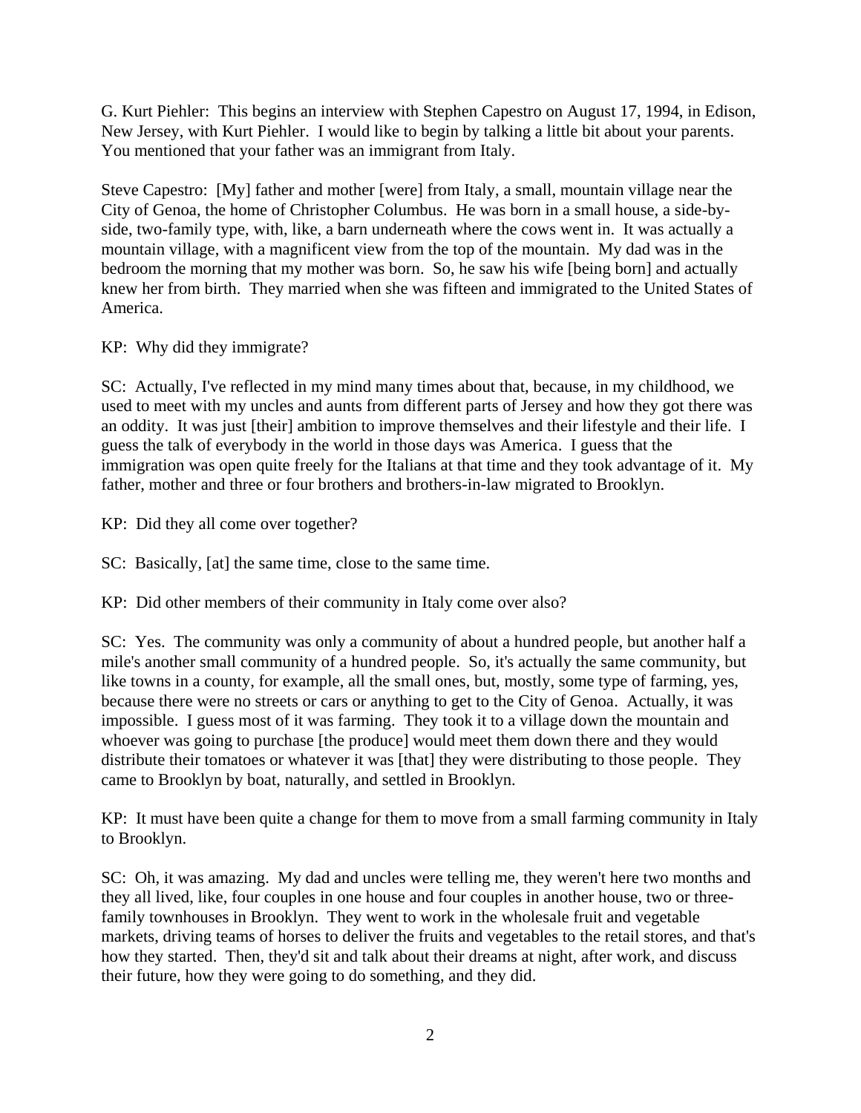G. Kurt Piehler: This begins an interview with Stephen Capestro on August 17, 1994, in Edison, New Jersey, with Kurt Piehler. I would like to begin by talking a little bit about your parents. You mentioned that your father was an immigrant from Italy.

Steve Capestro: [My] father and mother [were] from Italy, a small, mountain village near the City of Genoa, the home of Christopher Columbus. He was born in a small house, a side-byside, two-family type, with, like, a barn underneath where the cows went in. It was actually a mountain village, with a magnificent view from the top of the mountain. My dad was in the bedroom the morning that my mother was born. So, he saw his wife [being born] and actually knew her from birth. They married when she was fifteen and immigrated to the United States of America.

KP: Why did they immigrate?

SC: Actually, I've reflected in my mind many times about that, because, in my childhood, we used to meet with my uncles and aunts from different parts of Jersey and how they got there was an oddity. It was just [their] ambition to improve themselves and their lifestyle and their life. I guess the talk of everybody in the world in those days was America. I guess that the immigration was open quite freely for the Italians at that time and they took advantage of it. My father, mother and three or four brothers and brothers-in-law migrated to Brooklyn.

KP: Did they all come over together?

SC: Basically, [at] the same time, close to the same time.

KP: Did other members of their community in Italy come over also?

SC: Yes. The community was only a community of about a hundred people, but another half a mile's another small community of a hundred people. So, it's actually the same community, but like towns in a county, for example, all the small ones, but, mostly, some type of farming, yes, because there were no streets or cars or anything to get to the City of Genoa. Actually, it was impossible. I guess most of it was farming. They took it to a village down the mountain and whoever was going to purchase [the produce] would meet them down there and they would distribute their tomatoes or whatever it was [that] they were distributing to those people. They came to Brooklyn by boat, naturally, and settled in Brooklyn.

KP: It must have been quite a change for them to move from a small farming community in Italy to Brooklyn.

SC: Oh, it was amazing. My dad and uncles were telling me, they weren't here two months and they all lived, like, four couples in one house and four couples in another house, two or threefamily townhouses in Brooklyn. They went to work in the wholesale fruit and vegetable markets, driving teams of horses to deliver the fruits and vegetables to the retail stores, and that's how they started. Then, they'd sit and talk about their dreams at night, after work, and discuss their future, how they were going to do something, and they did.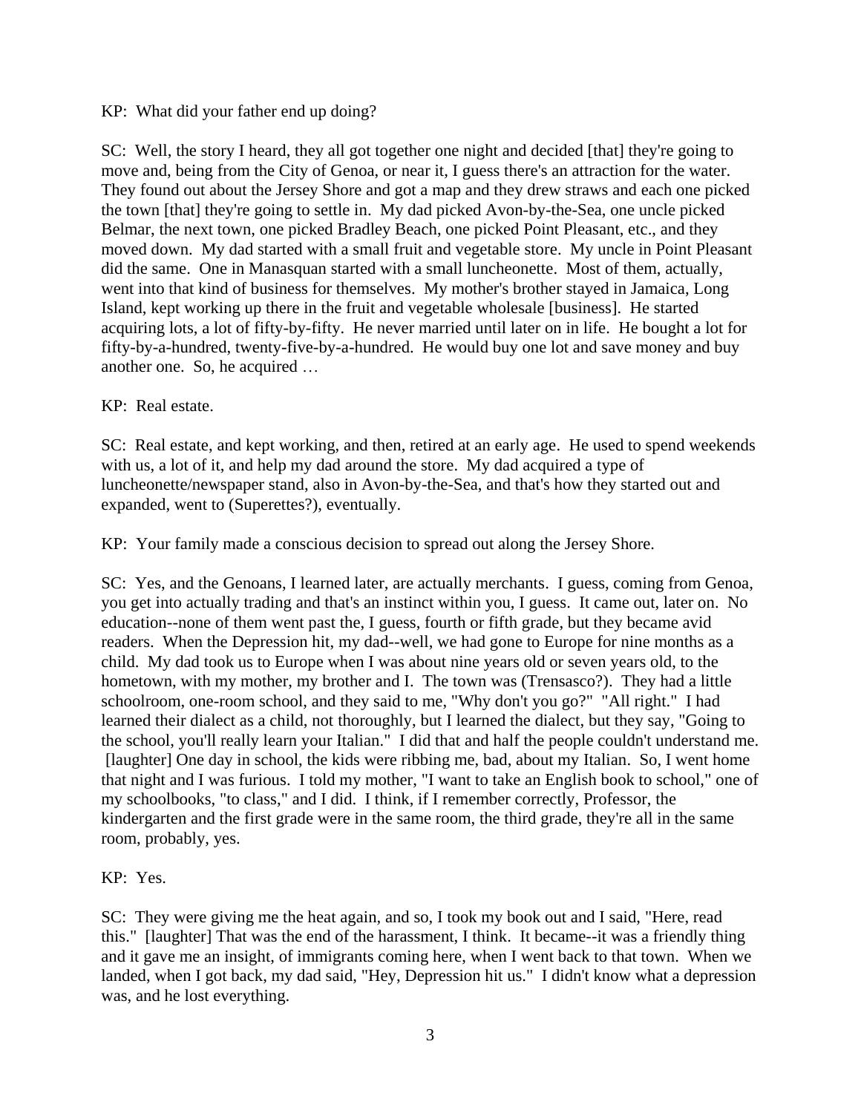### KP: What did your father end up doing?

SC: Well, the story I heard, they all got together one night and decided [that] they're going to move and, being from the City of Genoa, or near it, I guess there's an attraction for the water. They found out about the Jersey Shore and got a map and they drew straws and each one picked the town [that] they're going to settle in. My dad picked Avon-by-the-Sea, one uncle picked Belmar, the next town, one picked Bradley Beach, one picked Point Pleasant, etc., and they moved down. My dad started with a small fruit and vegetable store. My uncle in Point Pleasant did the same. One in Manasquan started with a small luncheonette. Most of them, actually, went into that kind of business for themselves. My mother's brother stayed in Jamaica, Long Island, kept working up there in the fruit and vegetable wholesale [business]. He started acquiring lots, a lot of fifty-by-fifty. He never married until later on in life. He bought a lot for fifty-by-a-hundred, twenty-five-by-a-hundred. He would buy one lot and save money and buy another one. So, he acquired …

## KP: Real estate.

SC: Real estate, and kept working, and then, retired at an early age. He used to spend weekends with us, a lot of it, and help my dad around the store. My dad acquired a type of luncheonette/newspaper stand, also in Avon-by-the-Sea, and that's how they started out and expanded, went to (Superettes?), eventually.

KP: Your family made a conscious decision to spread out along the Jersey Shore.

SC: Yes, and the Genoans, I learned later, are actually merchants. I guess, coming from Genoa, you get into actually trading and that's an instinct within you, I guess. It came out, later on. No education--none of them went past the, I guess, fourth or fifth grade, but they became avid readers. When the Depression hit, my dad--well, we had gone to Europe for nine months as a child. My dad took us to Europe when I was about nine years old or seven years old, to the hometown, with my mother, my brother and I. The town was (Trensasco?). They had a little schoolroom, one-room school, and they said to me, "Why don't you go?" "All right." I had learned their dialect as a child, not thoroughly, but I learned the dialect, but they say, "Going to the school, you'll really learn your Italian." I did that and half the people couldn't understand me. [laughter] One day in school, the kids were ribbing me, bad, about my Italian. So, I went home that night and I was furious. I told my mother, "I want to take an English book to school," one of my schoolbooks, "to class," and I did. I think, if I remember correctly, Professor, the kindergarten and the first grade were in the same room, the third grade, they're all in the same room, probably, yes.

## KP: Yes.

SC: They were giving me the heat again, and so, I took my book out and I said, "Here, read this." [laughter] That was the end of the harassment, I think. It became--it was a friendly thing and it gave me an insight, of immigrants coming here, when I went back to that town. When we landed, when I got back, my dad said, "Hey, Depression hit us." I didn't know what a depression was, and he lost everything.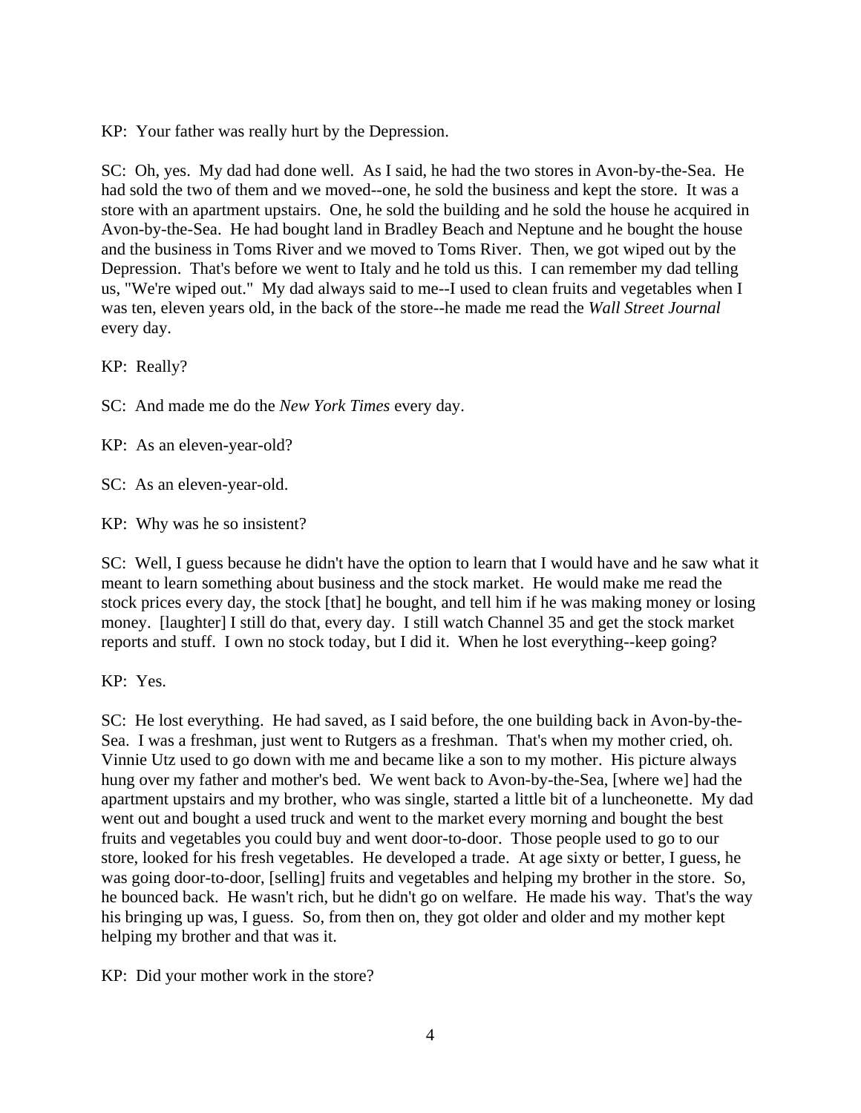KP: Your father was really hurt by the Depression.

SC: Oh, yes. My dad had done well. As I said, he had the two stores in Avon-by-the-Sea. He had sold the two of them and we moved--one, he sold the business and kept the store. It was a store with an apartment upstairs. One, he sold the building and he sold the house he acquired in Avon-by-the-Sea. He had bought land in Bradley Beach and Neptune and he bought the house and the business in Toms River and we moved to Toms River. Then, we got wiped out by the Depression. That's before we went to Italy and he told us this. I can remember my dad telling us, "We're wiped out." My dad always said to me--I used to clean fruits and vegetables when I was ten, eleven years old, in the back of the store--he made me read the *Wall Street Journal* every day.

KP: Really?

SC: And made me do the *New York Times* every day.

KP: As an eleven-year-old?

SC: As an eleven-year-old.

KP: Why was he so insistent?

SC: Well, I guess because he didn't have the option to learn that I would have and he saw what it meant to learn something about business and the stock market. He would make me read the stock prices every day, the stock [that] he bought, and tell him if he was making money or losing money. [laughter] I still do that, every day. I still watch Channel 35 and get the stock market reports and stuff. I own no stock today, but I did it. When he lost everything--keep going?

KP: Yes.

SC: He lost everything. He had saved, as I said before, the one building back in Avon-by-the-Sea. I was a freshman, just went to Rutgers as a freshman. That's when my mother cried, oh. Vinnie Utz used to go down with me and became like a son to my mother. His picture always hung over my father and mother's bed. We went back to Avon-by-the-Sea, [where we] had the apartment upstairs and my brother, who was single, started a little bit of a luncheonette. My dad went out and bought a used truck and went to the market every morning and bought the best fruits and vegetables you could buy and went door-to-door. Those people used to go to our store, looked for his fresh vegetables. He developed a trade. At age sixty or better, I guess, he was going door-to-door, [selling] fruits and vegetables and helping my brother in the store. So, he bounced back. He wasn't rich, but he didn't go on welfare. He made his way. That's the way his bringing up was, I guess. So, from then on, they got older and older and my mother kept helping my brother and that was it.

KP: Did your mother work in the store?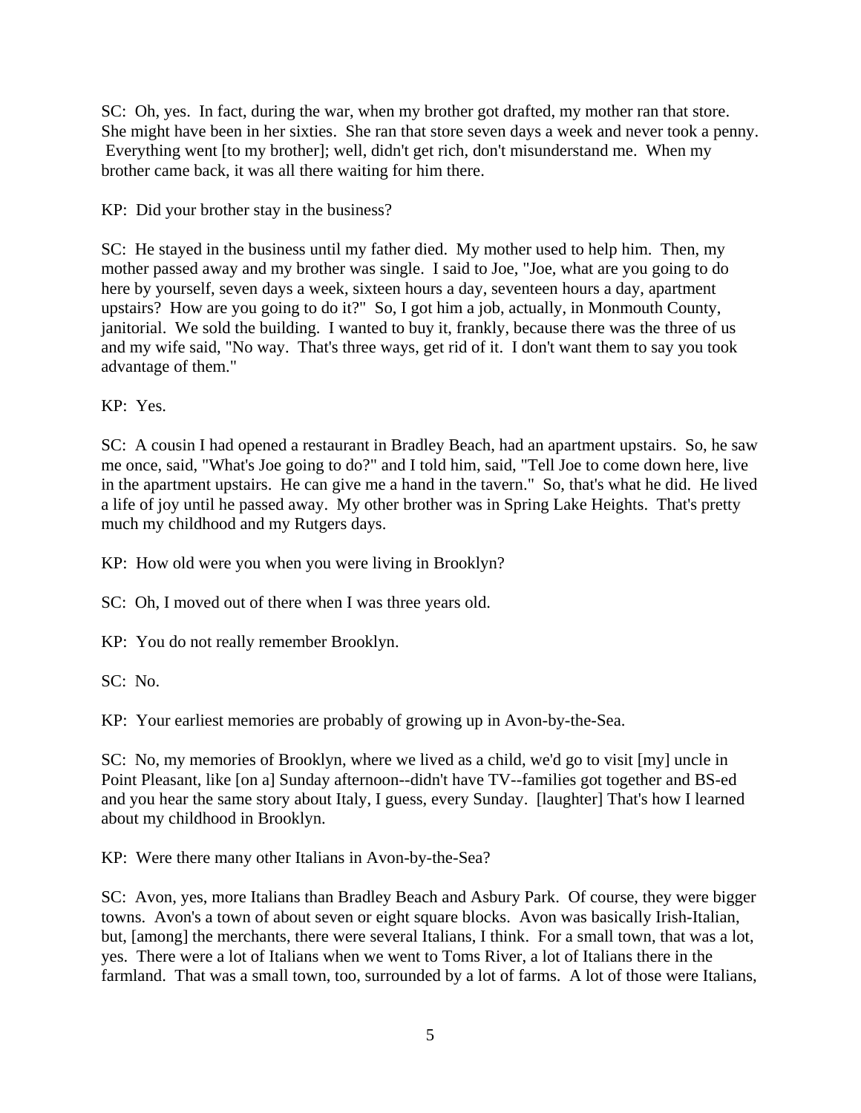SC: Oh, yes. In fact, during the war, when my brother got drafted, my mother ran that store. She might have been in her sixties. She ran that store seven days a week and never took a penny. Everything went [to my brother]; well, didn't get rich, don't misunderstand me. When my brother came back, it was all there waiting for him there.

KP: Did your brother stay in the business?

SC: He stayed in the business until my father died. My mother used to help him. Then, my mother passed away and my brother was single. I said to Joe, "Joe, what are you going to do here by yourself, seven days a week, sixteen hours a day, seventeen hours a day, apartment upstairs? How are you going to do it?" So, I got him a job, actually, in Monmouth County, janitorial. We sold the building. I wanted to buy it, frankly, because there was the three of us and my wife said, "No way. That's three ways, get rid of it. I don't want them to say you took advantage of them."

KP: Yes.

SC: A cousin I had opened a restaurant in Bradley Beach, had an apartment upstairs. So, he saw me once, said, "What's Joe going to do?" and I told him, said, "Tell Joe to come down here, live in the apartment upstairs. He can give me a hand in the tavern." So, that's what he did. He lived a life of joy until he passed away. My other brother was in Spring Lake Heights. That's pretty much my childhood and my Rutgers days.

KP: How old were you when you were living in Brooklyn?

SC: Oh, I moved out of there when I was three years old.

KP: You do not really remember Brooklyn.

SC: No.

KP: Your earliest memories are probably of growing up in Avon-by-the-Sea.

SC: No, my memories of Brooklyn, where we lived as a child, we'd go to visit [my] uncle in Point Pleasant, like [on a] Sunday afternoon--didn't have TV--families got together and BS-ed and you hear the same story about Italy, I guess, every Sunday. [laughter] That's how I learned about my childhood in Brooklyn.

KP: Were there many other Italians in Avon-by-the-Sea?

SC: Avon, yes, more Italians than Bradley Beach and Asbury Park. Of course, they were bigger towns. Avon's a town of about seven or eight square blocks. Avon was basically Irish-Italian, but, [among] the merchants, there were several Italians, I think. For a small town, that was a lot, yes. There were a lot of Italians when we went to Toms River, a lot of Italians there in the farmland. That was a small town, too, surrounded by a lot of farms. A lot of those were Italians,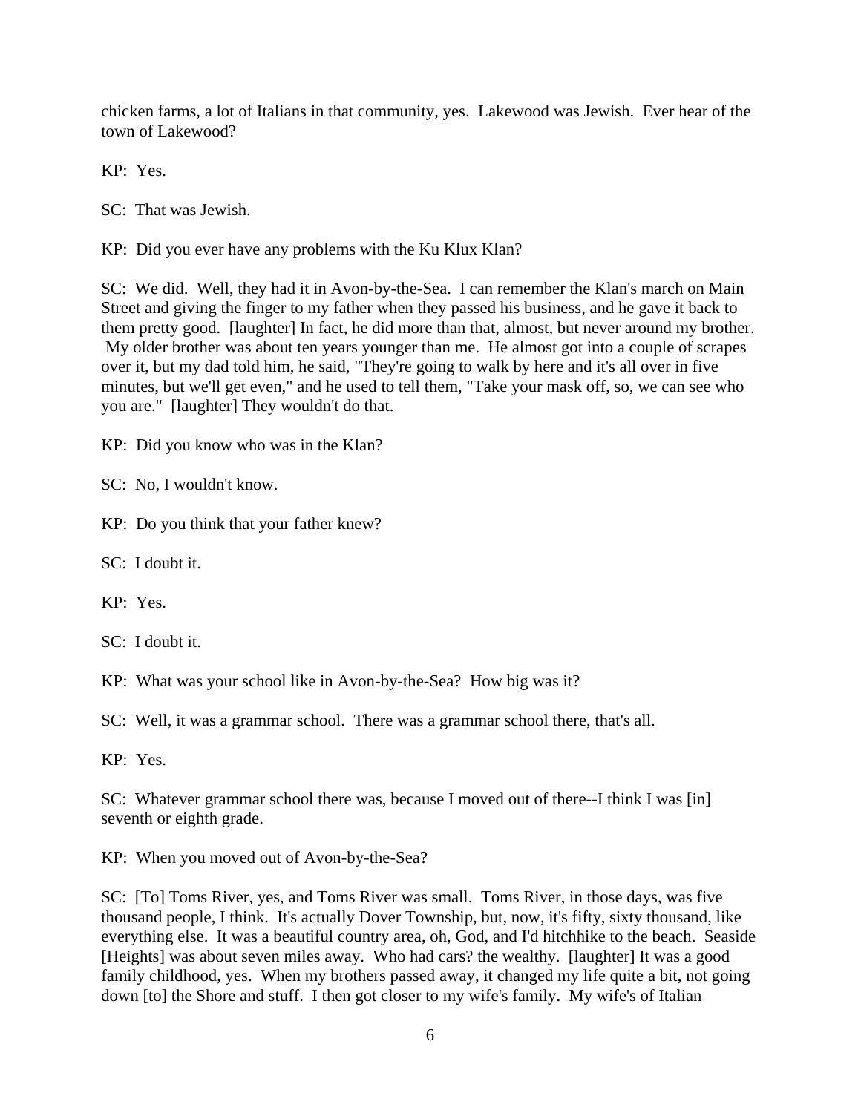chicken farms, a lot of Italians in that community, yes. Lakewood was Jewish. Ever hear of the town of Lakewood?

KP: Yes.

SC: That was Jewish.

KP: Did you ever have any problems with the Ku Klux Klan?

SC: We did. Well, they had it in Avon-by-the-Sea. I can remember the Klan's march on Main Street and giving the finger to my father when they passed his business, and he gave it back to them pretty good. [laughter] In fact, he did more than that, almost, but never around my brother. My older brother was about ten years younger than me. He almost got into a couple of scrapes over it, but my dad told him, he said, "They're going to walk by here and it's all over in five minutes, but we'll get even," and he used to tell them, "Take your mask off, so, we can see who you are." [laughter] They wouldn't do that.

KP: Did you know who was in the Klan?

SC: No, I wouldn't know.

KP: Do you think that your father knew?

SC: I doubt it.

KP: Yes.

SC: I doubt it.

KP: What was your school like in Avon-by-the-Sea? How big was it?

SC: Well, it was a grammar school. There was a grammar school there, that's all.

KP: Yes.

SC: Whatever grammar school there was, because I moved out of there--I think I was [in] seventh or eighth grade.

KP: When you moved out of Avon-by-the-Sea?

SC: [To] Toms River, yes, and Toms River was small. Toms River, in those days, was five thousand people, I think. It's actually Dover Township, but, now, it's fifty, sixty thousand, like everything else. It was a beautiful country area, oh, God, and I'd hitchhike to the beach. Seaside [Heights] was about seven miles away. Who had cars? the wealthy. [laughter] It was a good family childhood, yes. When my brothers passed away, it changed my life quite a bit, not going down [to] the Shore and stuff. I then got closer to my wife's family. My wife's of Italian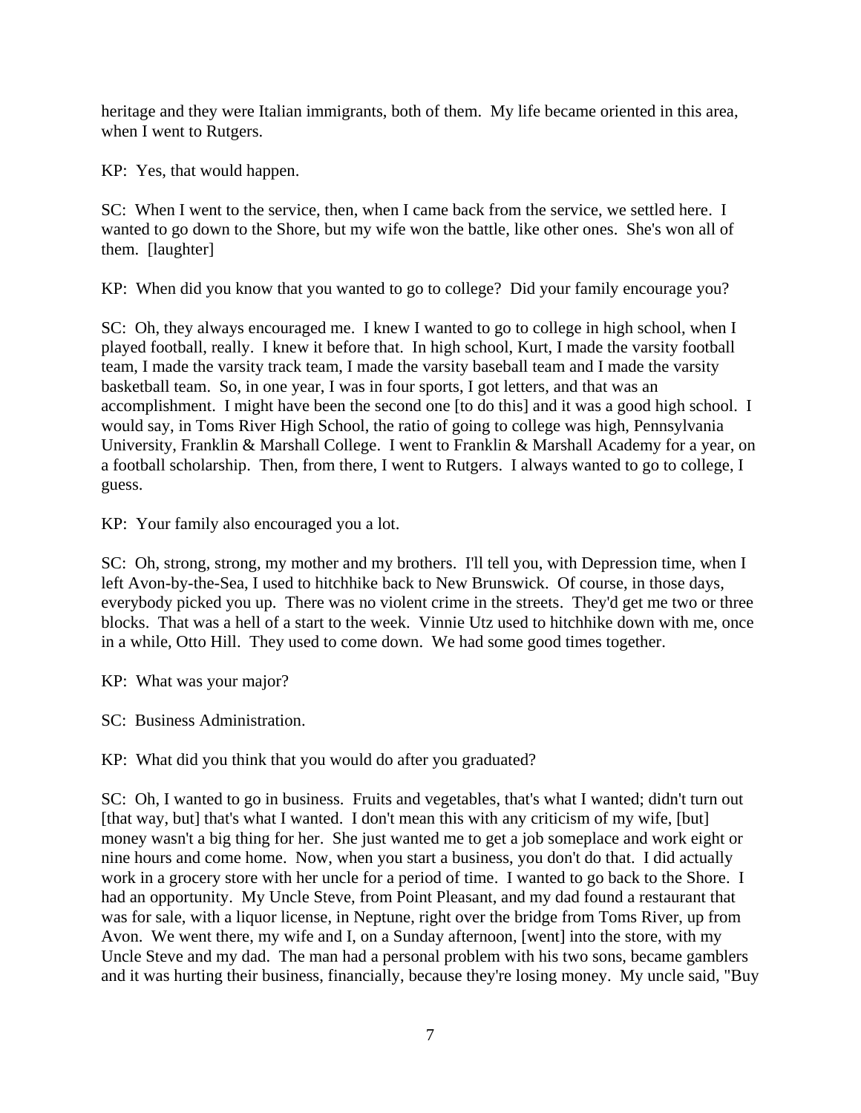heritage and they were Italian immigrants, both of them. My life became oriented in this area, when I went to Rutgers.

KP: Yes, that would happen.

SC: When I went to the service, then, when I came back from the service, we settled here. I wanted to go down to the Shore, but my wife won the battle, like other ones. She's won all of them. [laughter]

KP: When did you know that you wanted to go to college? Did your family encourage you?

SC: Oh, they always encouraged me. I knew I wanted to go to college in high school, when I played football, really. I knew it before that. In high school, Kurt, I made the varsity football team, I made the varsity track team, I made the varsity baseball team and I made the varsity basketball team. So, in one year, I was in four sports, I got letters, and that was an accomplishment. I might have been the second one [to do this] and it was a good high school. I would say, in Toms River High School, the ratio of going to college was high, Pennsylvania University, Franklin & Marshall College. I went to Franklin & Marshall Academy for a year, on a football scholarship. Then, from there, I went to Rutgers. I always wanted to go to college, I guess.

KP: Your family also encouraged you a lot.

SC: Oh, strong, strong, my mother and my brothers. I'll tell you, with Depression time, when I left Avon-by-the-Sea, I used to hitchhike back to New Brunswick. Of course, in those days, everybody picked you up. There was no violent crime in the streets. They'd get me two or three blocks. That was a hell of a start to the week. Vinnie Utz used to hitchhike down with me, once in a while, Otto Hill. They used to come down. We had some good times together.

KP: What was your major?

SC: Business Administration.

KP: What did you think that you would do after you graduated?

SC: Oh, I wanted to go in business. Fruits and vegetables, that's what I wanted; didn't turn out [that way, but] that's what I wanted. I don't mean this with any criticism of my wife, [but] money wasn't a big thing for her. She just wanted me to get a job someplace and work eight or nine hours and come home. Now, when you start a business, you don't do that. I did actually work in a grocery store with her uncle for a period of time. I wanted to go back to the Shore. I had an opportunity. My Uncle Steve, from Point Pleasant, and my dad found a restaurant that was for sale, with a liquor license, in Neptune, right over the bridge from Toms River, up from Avon. We went there, my wife and I, on a Sunday afternoon, [went] into the store, with my Uncle Steve and my dad. The man had a personal problem with his two sons, became gamblers and it was hurting their business, financially, because they're losing money. My uncle said, "Buy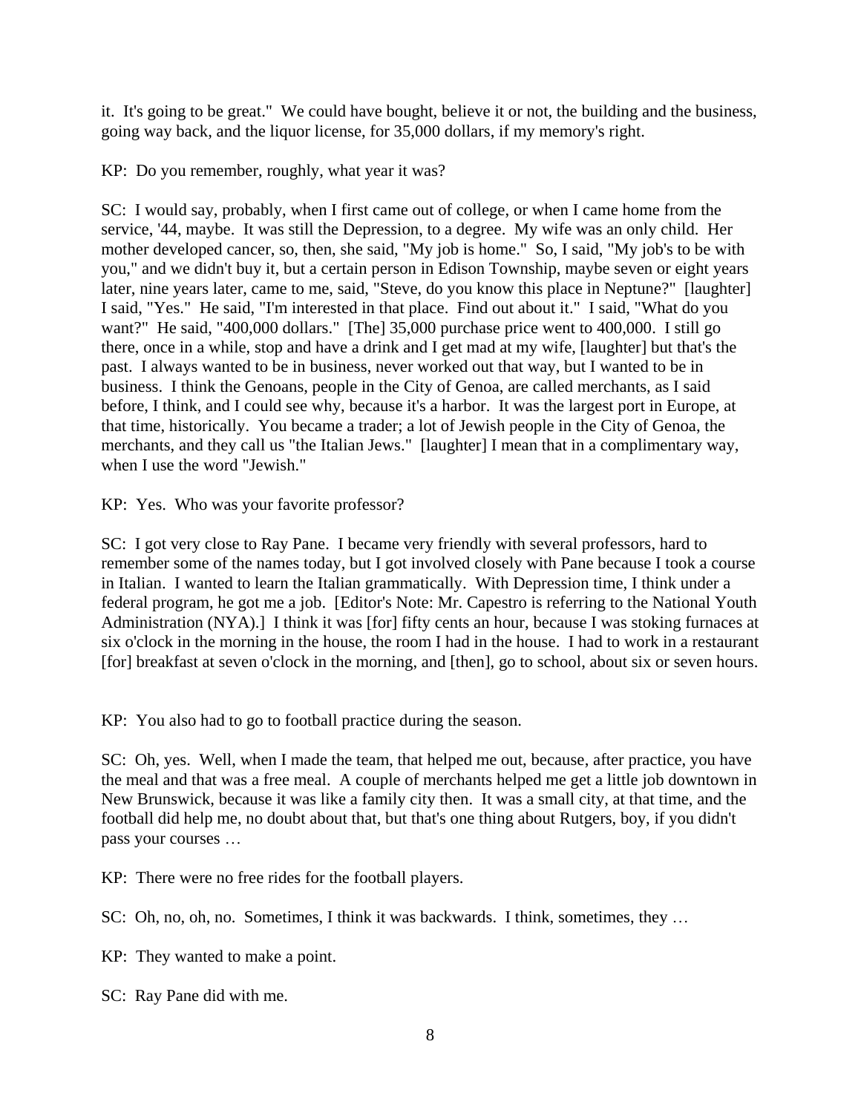it. It's going to be great." We could have bought, believe it or not, the building and the business, going way back, and the liquor license, for 35,000 dollars, if my memory's right.

KP: Do you remember, roughly, what year it was?

SC: I would say, probably, when I first came out of college, or when I came home from the service, '44, maybe. It was still the Depression, to a degree. My wife was an only child. Her mother developed cancer, so, then, she said, "My job is home." So, I said, "My job's to be with you," and we didn't buy it, but a certain person in Edison Township, maybe seven or eight years later, nine years later, came to me, said, "Steve, do you know this place in Neptune?" [laughter] I said, "Yes." He said, "I'm interested in that place. Find out about it." I said, "What do you want?" He said, "400,000 dollars." [The] 35,000 purchase price went to 400,000. I still go there, once in a while, stop and have a drink and I get mad at my wife, [laughter] but that's the past. I always wanted to be in business, never worked out that way, but I wanted to be in business. I think the Genoans, people in the City of Genoa, are called merchants, as I said before, I think, and I could see why, because it's a harbor. It was the largest port in Europe, at that time, historically. You became a trader; a lot of Jewish people in the City of Genoa, the merchants, and they call us "the Italian Jews." [laughter] I mean that in a complimentary way, when I use the word "Jewish."

KP: Yes. Who was your favorite professor?

SC: I got very close to Ray Pane. I became very friendly with several professors, hard to remember some of the names today, but I got involved closely with Pane because I took a course in Italian. I wanted to learn the Italian grammatically. With Depression time, I think under a federal program, he got me a job. [Editor's Note: Mr. Capestro is referring to the National Youth Administration (NYA).] I think it was [for] fifty cents an hour, because I was stoking furnaces at six o'clock in the morning in the house, the room I had in the house. I had to work in a restaurant [for] breakfast at seven o'clock in the morning, and [then], go to school, about six or seven hours.

KP: You also had to go to football practice during the season.

SC: Oh, yes. Well, when I made the team, that helped me out, because, after practice, you have the meal and that was a free meal. A couple of merchants helped me get a little job downtown in New Brunswick, because it was like a family city then. It was a small city, at that time, and the football did help me, no doubt about that, but that's one thing about Rutgers, boy, if you didn't pass your courses …

KP: There were no free rides for the football players.

SC: Oh, no, oh, no. Sometimes, I think it was backwards. I think, sometimes, they …

KP: They wanted to make a point.

SC: Ray Pane did with me.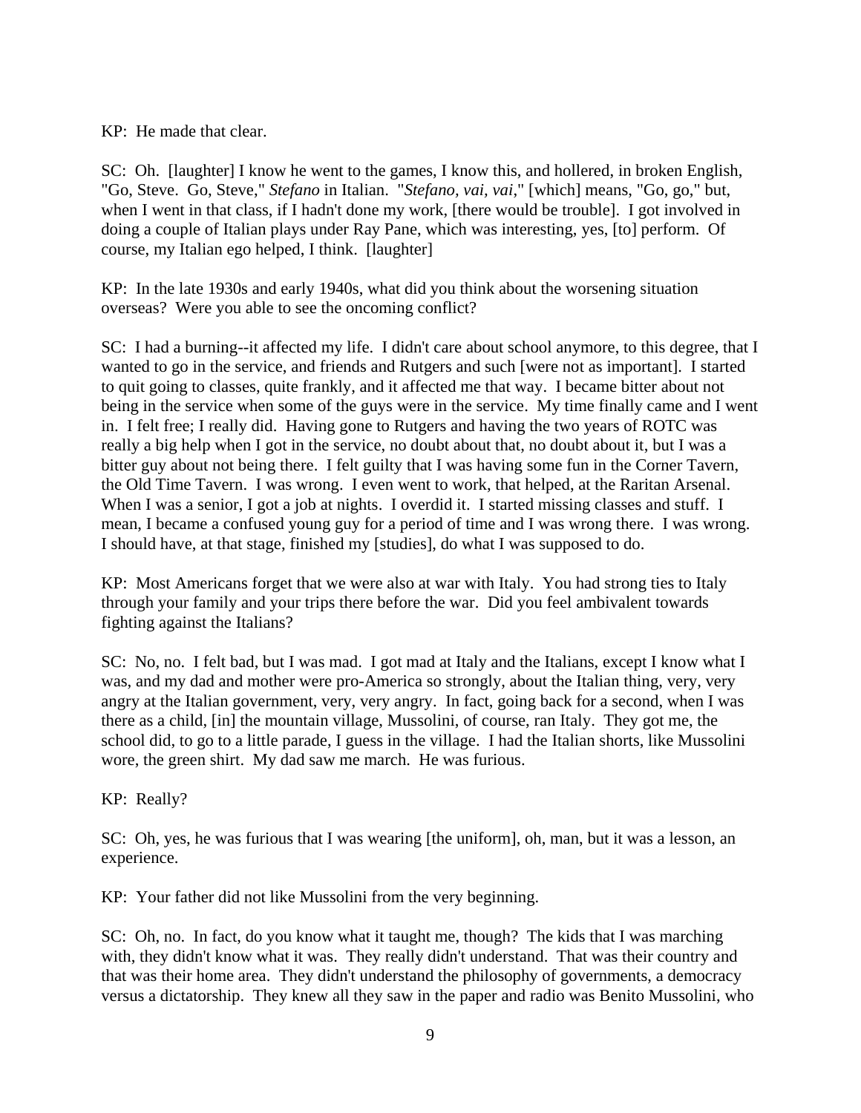KP: He made that clear.

SC: Oh. [laughter] I know he went to the games, I know this, and hollered, in broken English, "Go, Steve. Go, Steve," *Stefano* in Italian. "*Stefano, vai, vai*," [which] means, "Go, go," but, when I went in that class, if I hadn't done my work, [there would be trouble]. I got involved in doing a couple of Italian plays under Ray Pane, which was interesting, yes, [to] perform. Of course, my Italian ego helped, I think. [laughter]

KP: In the late 1930s and early 1940s, what did you think about the worsening situation overseas? Were you able to see the oncoming conflict?

SC: I had a burning--it affected my life. I didn't care about school anymore, to this degree, that I wanted to go in the service, and friends and Rutgers and such [were not as important]. I started to quit going to classes, quite frankly, and it affected me that way. I became bitter about not being in the service when some of the guys were in the service. My time finally came and I went in. I felt free; I really did. Having gone to Rutgers and having the two years of ROTC was really a big help when I got in the service, no doubt about that, no doubt about it, but I was a bitter guy about not being there. I felt guilty that I was having some fun in the Corner Tavern, the Old Time Tavern. I was wrong. I even went to work, that helped, at the Raritan Arsenal. When I was a senior, I got a job at nights. I overdid it. I started missing classes and stuff. I mean, I became a confused young guy for a period of time and I was wrong there. I was wrong. I should have, at that stage, finished my [studies], do what I was supposed to do.

KP: Most Americans forget that we were also at war with Italy. You had strong ties to Italy through your family and your trips there before the war. Did you feel ambivalent towards fighting against the Italians?

SC: No, no. I felt bad, but I was mad. I got mad at Italy and the Italians, except I know what I was, and my dad and mother were pro-America so strongly, about the Italian thing, very, very angry at the Italian government, very, very angry. In fact, going back for a second, when I was there as a child, [in] the mountain village, Mussolini, of course, ran Italy. They got me, the school did, to go to a little parade, I guess in the village. I had the Italian shorts, like Mussolini wore, the green shirt. My dad saw me march. He was furious.

KP: Really?

SC: Oh, yes, he was furious that I was wearing [the uniform], oh, man, but it was a lesson, an experience.

KP: Your father did not like Mussolini from the very beginning.

SC: Oh, no. In fact, do you know what it taught me, though? The kids that I was marching with, they didn't know what it was. They really didn't understand. That was their country and that was their home area. They didn't understand the philosophy of governments, a democracy versus a dictatorship. They knew all they saw in the paper and radio was Benito Mussolini, who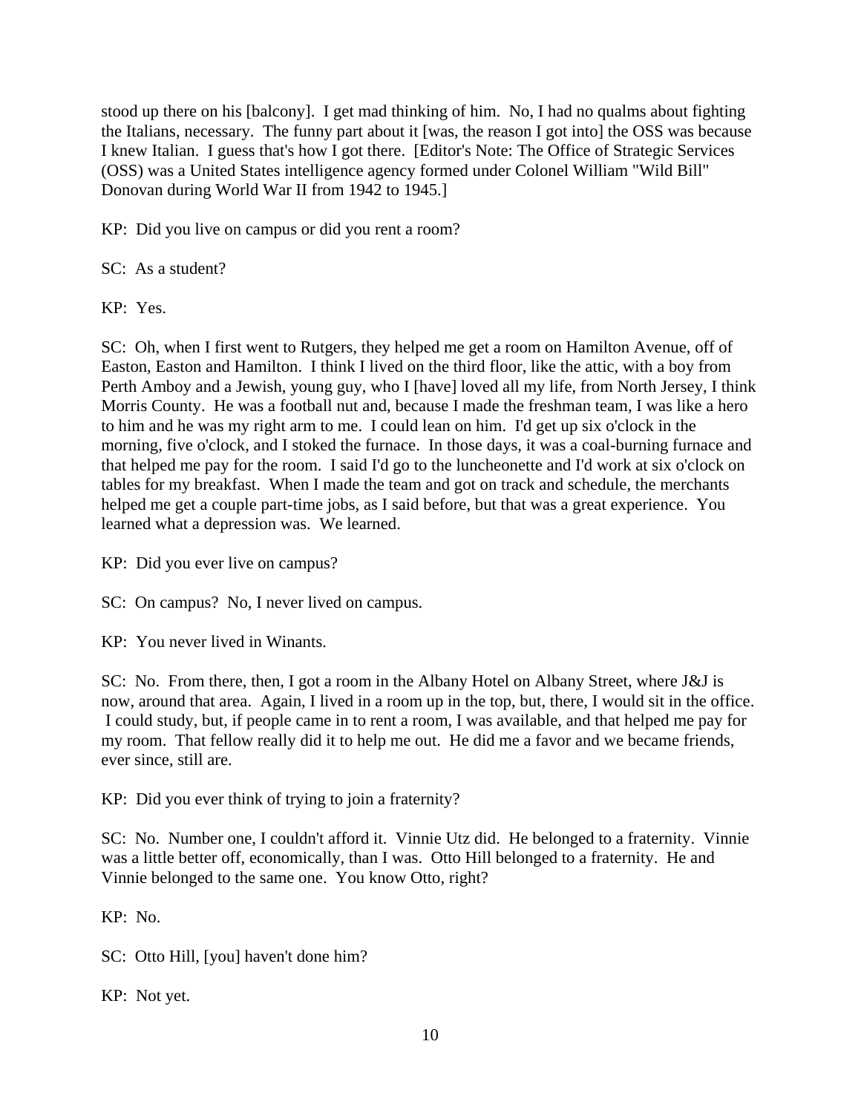stood up there on his [balcony]. I get mad thinking of him. No, I had no qualms about fighting the Italians, necessary. The funny part about it [was, the reason I got into] the OSS was because I knew Italian. I guess that's how I got there. [Editor's Note: The Office of Strategic Services (OSS) was a United States intelligence agency formed under Colonel William "Wild Bill" Donovan during World War II from 1942 to 1945.]

KP: Did you live on campus or did you rent a room?

SC: As a student?

KP: Yes.

SC: Oh, when I first went to Rutgers, they helped me get a room on Hamilton Avenue, off of Easton, Easton and Hamilton. I think I lived on the third floor, like the attic, with a boy from Perth Amboy and a Jewish, young guy, who I [have] loved all my life, from North Jersey, I think Morris County. He was a football nut and, because I made the freshman team, I was like a hero to him and he was my right arm to me. I could lean on him. I'd get up six o'clock in the morning, five o'clock, and I stoked the furnace. In those days, it was a coal-burning furnace and that helped me pay for the room. I said I'd go to the luncheonette and I'd work at six o'clock on tables for my breakfast. When I made the team and got on track and schedule, the merchants helped me get a couple part-time jobs, as I said before, but that was a great experience. You learned what a depression was. We learned.

KP: Did you ever live on campus?

SC: On campus? No, I never lived on campus.

KP: You never lived in Winants.

SC: No. From there, then, I got a room in the Albany Hotel on Albany Street, where J&J is now, around that area. Again, I lived in a room up in the top, but, there, I would sit in the office. I could study, but, if people came in to rent a room, I was available, and that helped me pay for my room. That fellow really did it to help me out. He did me a favor and we became friends, ever since, still are.

KP: Did you ever think of trying to join a fraternity?

SC: No. Number one, I couldn't afford it. Vinnie Utz did. He belonged to a fraternity. Vinnie was a little better off, economically, than I was. Otto Hill belonged to a fraternity. He and Vinnie belonged to the same one. You know Otto, right?

KP: No.

SC: Otto Hill, [you] haven't done him?

KP: Not yet.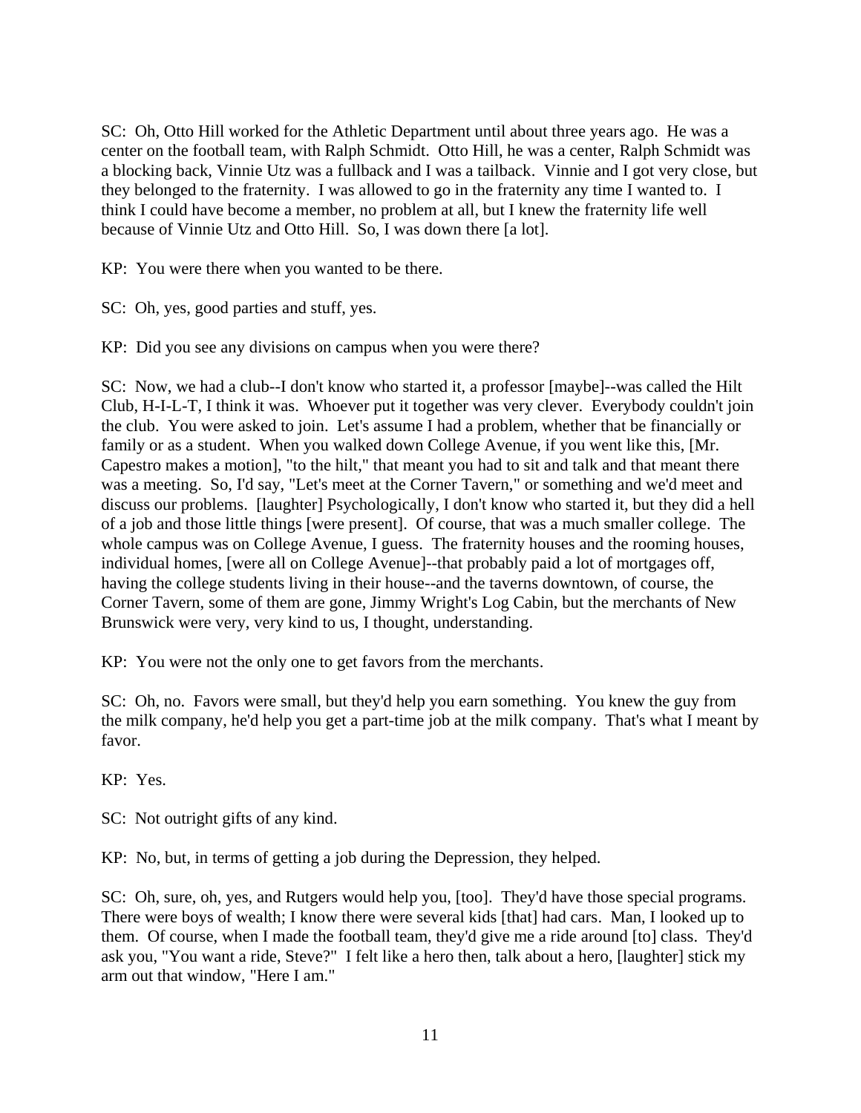SC: Oh, Otto Hill worked for the Athletic Department until about three years ago. He was a center on the football team, with Ralph Schmidt. Otto Hill, he was a center, Ralph Schmidt was a blocking back, Vinnie Utz was a fullback and I was a tailback. Vinnie and I got very close, but they belonged to the fraternity. I was allowed to go in the fraternity any time I wanted to. I think I could have become a member, no problem at all, but I knew the fraternity life well because of Vinnie Utz and Otto Hill. So, I was down there [a lot].

KP: You were there when you wanted to be there.

SC: Oh, yes, good parties and stuff, yes.

KP: Did you see any divisions on campus when you were there?

SC: Now, we had a club--I don't know who started it, a professor [maybe]--was called the Hilt Club, H-I-L-T, I think it was. Whoever put it together was very clever. Everybody couldn't join the club. You were asked to join. Let's assume I had a problem, whether that be financially or family or as a student. When you walked down College Avenue, if you went like this, [Mr. Capestro makes a motion], "to the hilt," that meant you had to sit and talk and that meant there was a meeting. So, I'd say, "Let's meet at the Corner Tavern," or something and we'd meet and discuss our problems. [laughter] Psychologically, I don't know who started it, but they did a hell of a job and those little things [were present]. Of course, that was a much smaller college. The whole campus was on College Avenue, I guess. The fraternity houses and the rooming houses, individual homes, [were all on College Avenue]--that probably paid a lot of mortgages off, having the college students living in their house--and the taverns downtown, of course, the Corner Tavern, some of them are gone, Jimmy Wright's Log Cabin, but the merchants of New Brunswick were very, very kind to us, I thought, understanding.

KP: You were not the only one to get favors from the merchants.

SC: Oh, no. Favors were small, but they'd help you earn something. You knew the guy from the milk company, he'd help you get a part-time job at the milk company. That's what I meant by favor.

KP: Yes.

SC: Not outright gifts of any kind.

KP: No, but, in terms of getting a job during the Depression, they helped.

SC: Oh, sure, oh, yes, and Rutgers would help you, [too]. They'd have those special programs. There were boys of wealth; I know there were several kids [that] had cars. Man, I looked up to them. Of course, when I made the football team, they'd give me a ride around [to] class. They'd ask you, "You want a ride, Steve?" I felt like a hero then, talk about a hero, [laughter] stick my arm out that window, "Here I am."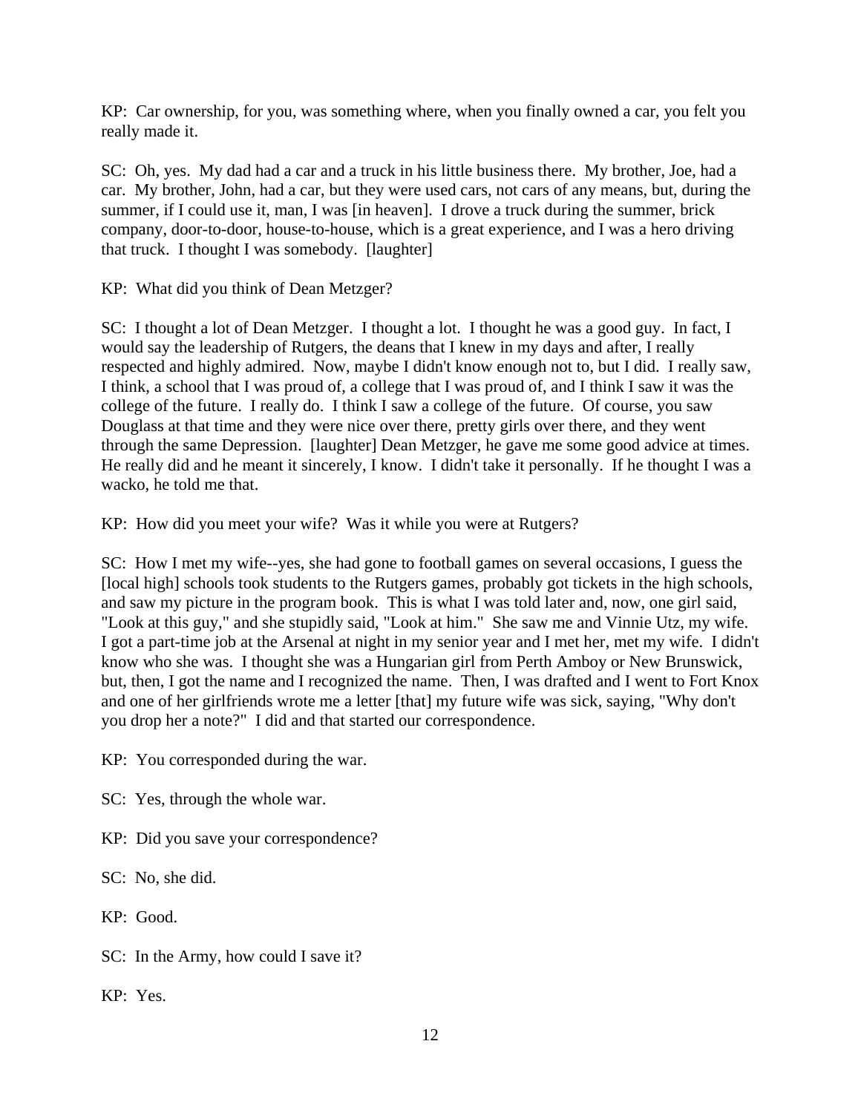KP: Car ownership, for you, was something where, when you finally owned a car, you felt you really made it.

SC: Oh, yes. My dad had a car and a truck in his little business there. My brother, Joe, had a car. My brother, John, had a car, but they were used cars, not cars of any means, but, during the summer, if I could use it, man, I was [in heaven]. I drove a truck during the summer, brick company, door-to-door, house-to-house, which is a great experience, and I was a hero driving that truck. I thought I was somebody. [laughter]

KP: What did you think of Dean Metzger?

SC: I thought a lot of Dean Metzger. I thought a lot. I thought he was a good guy. In fact, I would say the leadership of Rutgers, the deans that I knew in my days and after, I really respected and highly admired. Now, maybe I didn't know enough not to, but I did. I really saw, I think, a school that I was proud of, a college that I was proud of, and I think I saw it was the college of the future. I really do. I think I saw a college of the future. Of course, you saw Douglass at that time and they were nice over there, pretty girls over there, and they went through the same Depression. [laughter] Dean Metzger, he gave me some good advice at times. He really did and he meant it sincerely, I know. I didn't take it personally. If he thought I was a wacko, he told me that.

KP: How did you meet your wife? Was it while you were at Rutgers?

SC: How I met my wife--yes, she had gone to football games on several occasions, I guess the [local high] schools took students to the Rutgers games, probably got tickets in the high schools, and saw my picture in the program book. This is what I was told later and, now, one girl said, "Look at this guy," and she stupidly said, "Look at him." She saw me and Vinnie Utz, my wife. I got a part-time job at the Arsenal at night in my senior year and I met her, met my wife. I didn't know who she was. I thought she was a Hungarian girl from Perth Amboy or New Brunswick, but, then, I got the name and I recognized the name. Then, I was drafted and I went to Fort Knox and one of her girlfriends wrote me a letter [that] my future wife was sick, saying, "Why don't you drop her a note?" I did and that started our correspondence.

KP: You corresponded during the war.

SC: Yes, through the whole war.

KP: Did you save your correspondence?

SC: No, she did.

KP: Good.

SC: In the Army, how could I save it?

KP: Yes.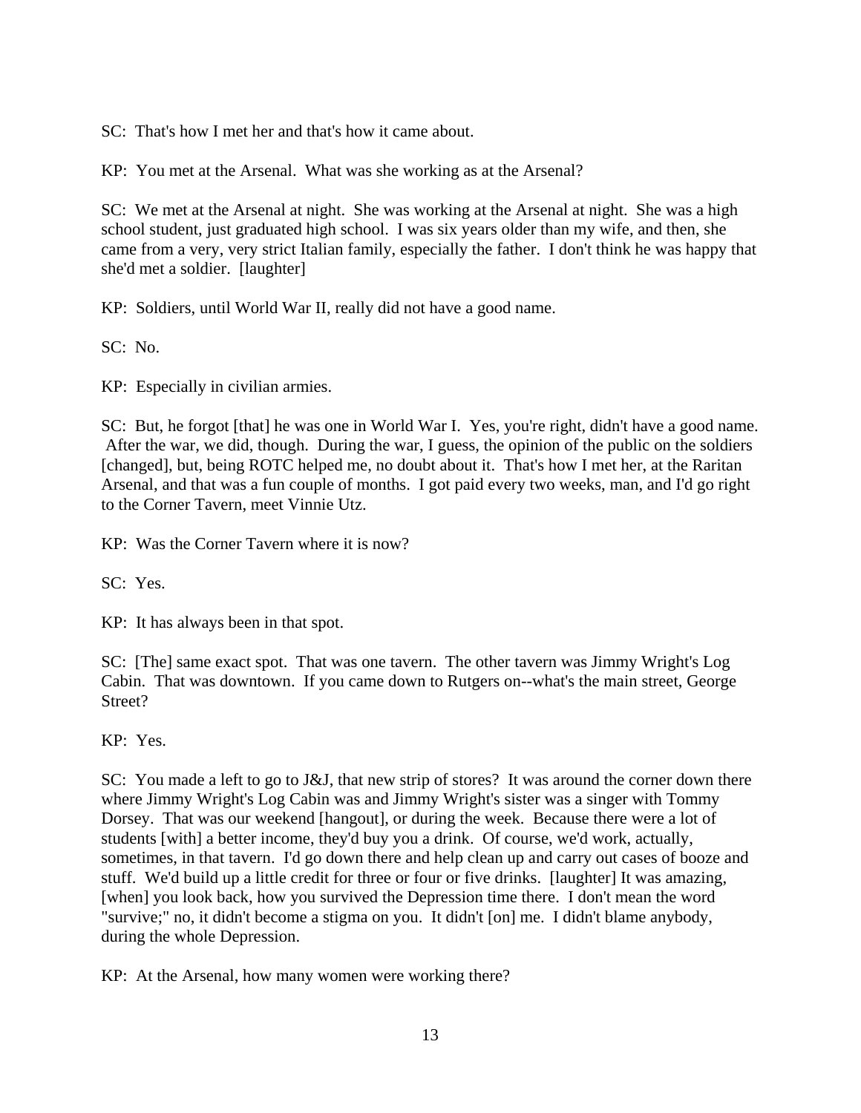SC: That's how I met her and that's how it came about.

KP: You met at the Arsenal. What was she working as at the Arsenal?

SC: We met at the Arsenal at night. She was working at the Arsenal at night. She was a high school student, just graduated high school. I was six years older than my wife, and then, she came from a very, very strict Italian family, especially the father. I don't think he was happy that she'd met a soldier. [laughter]

KP: Soldiers, until World War II, really did not have a good name.

SC: No.

KP: Especially in civilian armies.

SC: But, he forgot [that] he was one in World War I. Yes, you're right, didn't have a good name. After the war, we did, though. During the war, I guess, the opinion of the public on the soldiers [changed], but, being ROTC helped me, no doubt about it. That's how I met her, at the Raritan Arsenal, and that was a fun couple of months. I got paid every two weeks, man, and I'd go right to the Corner Tavern, meet Vinnie Utz.

KP: Was the Corner Tavern where it is now?

SC: Yes.

KP: It has always been in that spot.

SC: [The] same exact spot. That was one tavern. The other tavern was Jimmy Wright's Log Cabin. That was downtown. If you came down to Rutgers on--what's the main street, George Street?

KP: Yes.

SC: You made a left to go to J&J, that new strip of stores? It was around the corner down there where Jimmy Wright's Log Cabin was and Jimmy Wright's sister was a singer with Tommy Dorsey. That was our weekend [hangout], or during the week. Because there were a lot of students [with] a better income, they'd buy you a drink. Of course, we'd work, actually, sometimes, in that tavern. I'd go down there and help clean up and carry out cases of booze and stuff. We'd build up a little credit for three or four or five drinks. [laughter] It was amazing, [when] you look back, how you survived the Depression time there. I don't mean the word "survive;" no, it didn't become a stigma on you. It didn't [on] me. I didn't blame anybody, during the whole Depression.

KP: At the Arsenal, how many women were working there?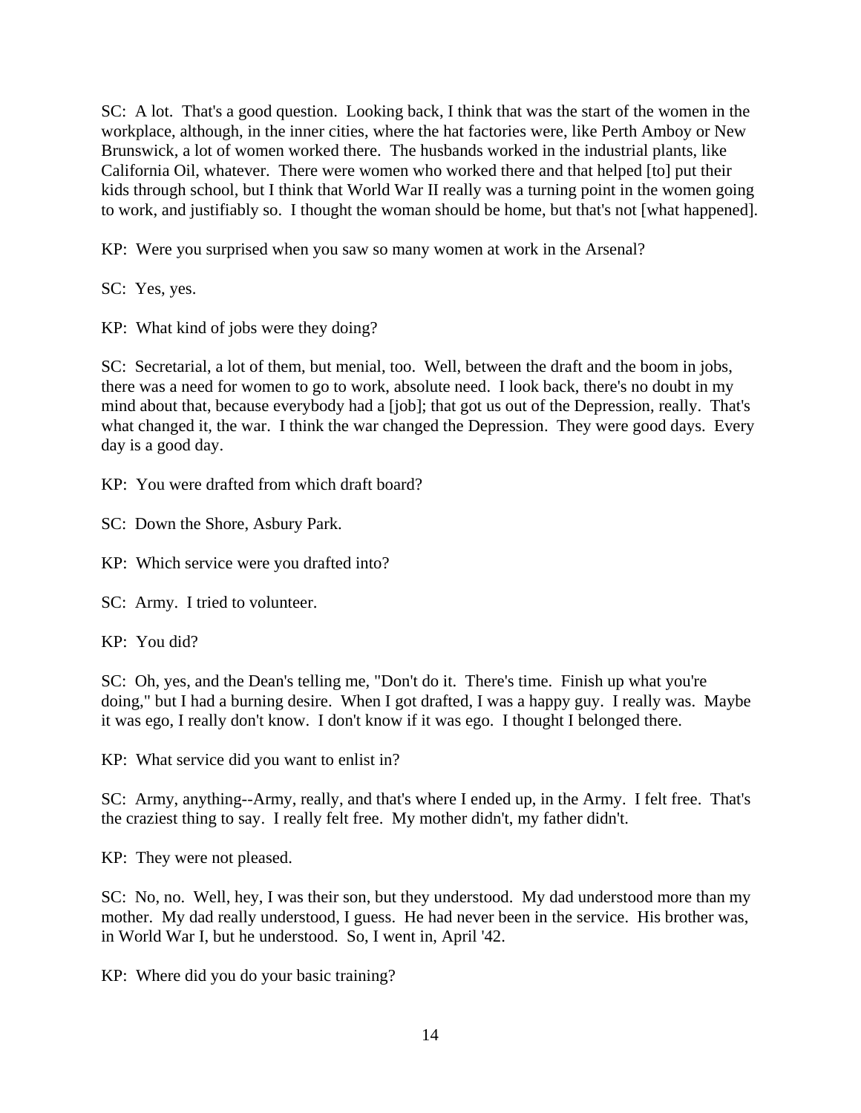SC: A lot. That's a good question. Looking back, I think that was the start of the women in the workplace, although, in the inner cities, where the hat factories were, like Perth Amboy or New Brunswick, a lot of women worked there. The husbands worked in the industrial plants, like California Oil, whatever. There were women who worked there and that helped [to] put their kids through school, but I think that World War II really was a turning point in the women going to work, and justifiably so. I thought the woman should be home, but that's not [what happened].

KP: Were you surprised when you saw so many women at work in the Arsenal?

SC: Yes, yes.

KP: What kind of jobs were they doing?

SC: Secretarial, a lot of them, but menial, too. Well, between the draft and the boom in jobs, there was a need for women to go to work, absolute need. I look back, there's no doubt in my mind about that, because everybody had a [job]; that got us out of the Depression, really. That's what changed it, the war. I think the war changed the Depression. They were good days. Every day is a good day.

KP: You were drafted from which draft board?

SC: Down the Shore, Asbury Park.

KP: Which service were you drafted into?

SC: Army. I tried to volunteer.

KP: You did?

SC: Oh, yes, and the Dean's telling me, "Don't do it. There's time. Finish up what you're doing," but I had a burning desire. When I got drafted, I was a happy guy. I really was. Maybe it was ego, I really don't know. I don't know if it was ego. I thought I belonged there.

KP: What service did you want to enlist in?

SC: Army, anything--Army, really, and that's where I ended up, in the Army. I felt free. That's the craziest thing to say. I really felt free. My mother didn't, my father didn't.

KP: They were not pleased.

SC: No, no. Well, hey, I was their son, but they understood. My dad understood more than my mother. My dad really understood, I guess. He had never been in the service. His brother was, in World War I, but he understood. So, I went in, April '42.

KP: Where did you do your basic training?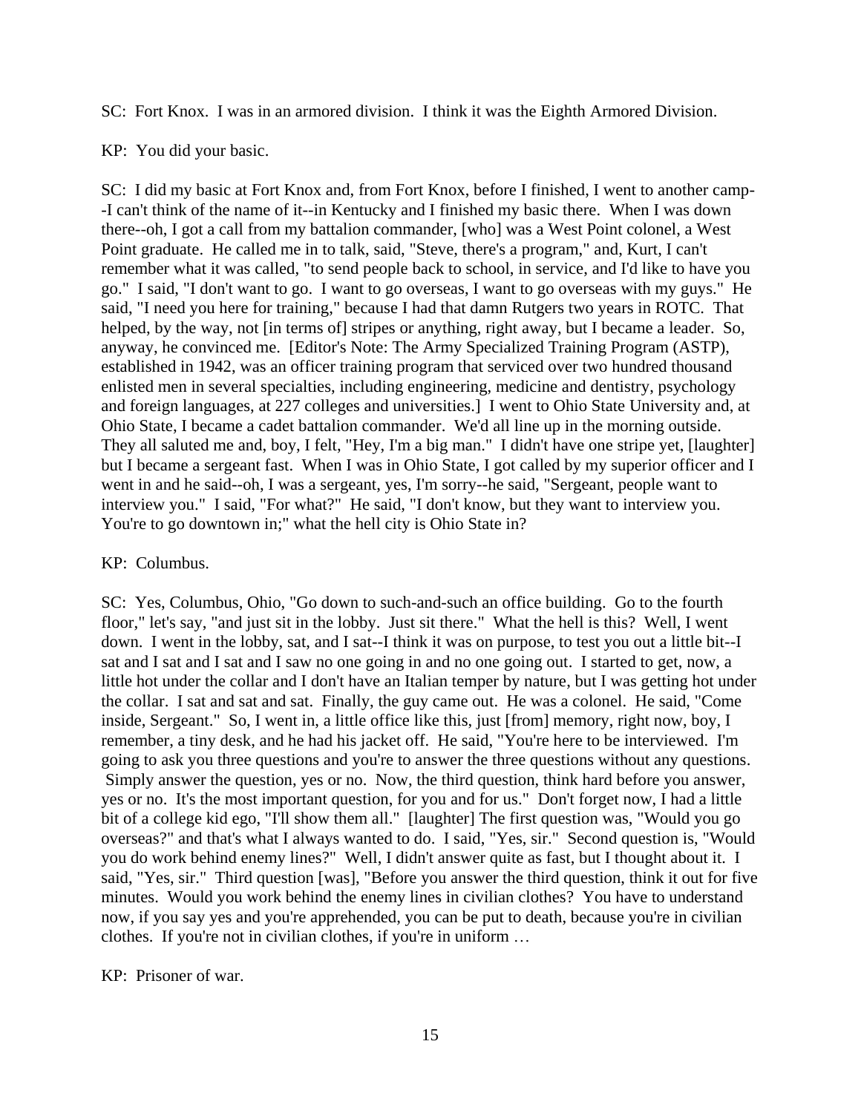SC: Fort Knox. I was in an armored division. I think it was the Eighth Armored Division.

KP: You did your basic.

SC: I did my basic at Fort Knox and, from Fort Knox, before I finished, I went to another camp- -I can't think of the name of it--in Kentucky and I finished my basic there. When I was down there--oh, I got a call from my battalion commander, [who] was a West Point colonel, a West Point graduate. He called me in to talk, said, "Steve, there's a program," and, Kurt, I can't remember what it was called, "to send people back to school, in service, and I'd like to have you go." I said, "I don't want to go. I want to go overseas, I want to go overseas with my guys." He said, "I need you here for training," because I had that damn Rutgers two years in ROTC. That helped, by the way, not [in terms of] stripes or anything, right away, but I became a leader. So, anyway, he convinced me. [Editor's Note: The Army Specialized Training Program (ASTP), established in 1942, was an officer training program that serviced over two hundred thousand enlisted men in several specialties, including engineering, medicine and dentistry, psychology and foreign languages, at 227 colleges and universities.] I went to Ohio State University and, at Ohio State, I became a cadet battalion commander. We'd all line up in the morning outside. They all saluted me and, boy, I felt, "Hey, I'm a big man." I didn't have one stripe yet, [laughter] but I became a sergeant fast. When I was in Ohio State, I got called by my superior officer and I went in and he said--oh, I was a sergeant, yes, I'm sorry--he said, "Sergeant, people want to interview you." I said, "For what?" He said, "I don't know, but they want to interview you. You're to go downtown in;" what the hell city is Ohio State in?

### KP: Columbus.

SC: Yes, Columbus, Ohio, "Go down to such-and-such an office building. Go to the fourth floor," let's say, "and just sit in the lobby. Just sit there." What the hell is this? Well, I went down. I went in the lobby, sat, and I sat--I think it was on purpose, to test you out a little bit--I sat and I sat and I sat and I saw no one going in and no one going out. I started to get, now, a little hot under the collar and I don't have an Italian temper by nature, but I was getting hot under the collar. I sat and sat and sat. Finally, the guy came out. He was a colonel. He said, "Come inside, Sergeant." So, I went in, a little office like this, just [from] memory, right now, boy, I remember, a tiny desk, and he had his jacket off. He said, "You're here to be interviewed. I'm going to ask you three questions and you're to answer the three questions without any questions. Simply answer the question, yes or no. Now, the third question, think hard before you answer, yes or no. It's the most important question, for you and for us." Don't forget now, I had a little bit of a college kid ego, "I'll show them all." [laughter] The first question was, "Would you go overseas?" and that's what I always wanted to do. I said, "Yes, sir." Second question is, "Would you do work behind enemy lines?" Well, I didn't answer quite as fast, but I thought about it. I said, "Yes, sir." Third question [was], "Before you answer the third question, think it out for five minutes. Would you work behind the enemy lines in civilian clothes? You have to understand now, if you say yes and you're apprehended, you can be put to death, because you're in civilian clothes. If you're not in civilian clothes, if you're in uniform …

KP: Prisoner of war.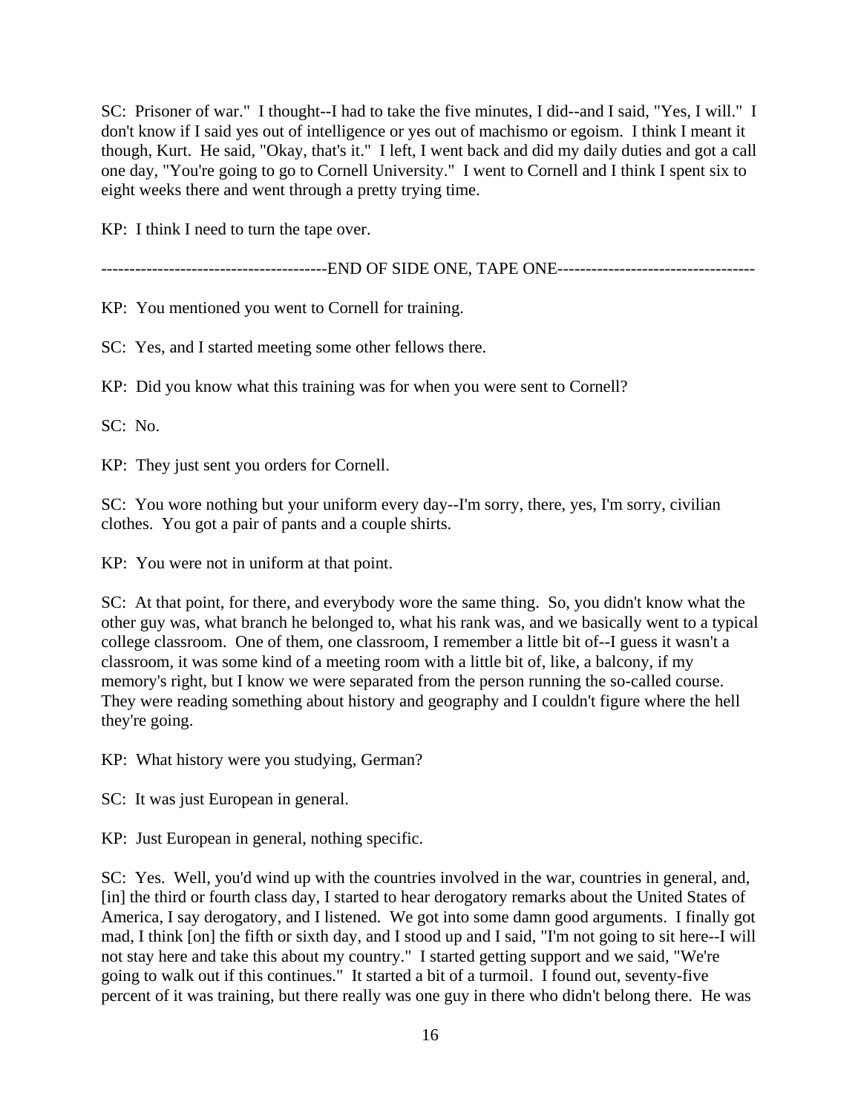SC: Prisoner of war." I thought--I had to take the five minutes, I did--and I said, "Yes, I will." I don't know if I said yes out of intelligence or yes out of machismo or egoism. I think I meant it though, Kurt. He said, "Okay, that's it." I left, I went back and did my daily duties and got a call one day, "You're going to go to Cornell University." I went to Cornell and I think I spent six to eight weeks there and went through a pretty trying time.

KP: I think I need to turn the tape over.

-----------------------END OF SIDE ONE, TAPE ONE---------------------------------

KP: You mentioned you went to Cornell for training.

SC: Yes, and I started meeting some other fellows there.

KP: Did you know what this training was for when you were sent to Cornell?

SC: No.

KP: They just sent you orders for Cornell.

SC: You wore nothing but your uniform every day--I'm sorry, there, yes, I'm sorry, civilian clothes. You got a pair of pants and a couple shirts.

KP: You were not in uniform at that point.

SC: At that point, for there, and everybody wore the same thing. So, you didn't know what the other guy was, what branch he belonged to, what his rank was, and we basically went to a typical college classroom. One of them, one classroom, I remember a little bit of--I guess it wasn't a classroom, it was some kind of a meeting room with a little bit of, like, a balcony, if my memory's right, but I know we were separated from the person running the so-called course. They were reading something about history and geography and I couldn't figure where the hell they're going.

KP: What history were you studying, German?

SC: It was just European in general.

KP: Just European in general, nothing specific.

SC: Yes. Well, you'd wind up with the countries involved in the war, countries in general, and, [in] the third or fourth class day, I started to hear derogatory remarks about the United States of America, I say derogatory, and I listened. We got into some damn good arguments. I finally got mad, I think [on] the fifth or sixth day, and I stood up and I said, "I'm not going to sit here--I will not stay here and take this about my country." I started getting support and we said, "We're going to walk out if this continues." It started a bit of a turmoil. I found out, seventy-five percent of it was training, but there really was one guy in there who didn't belong there. He was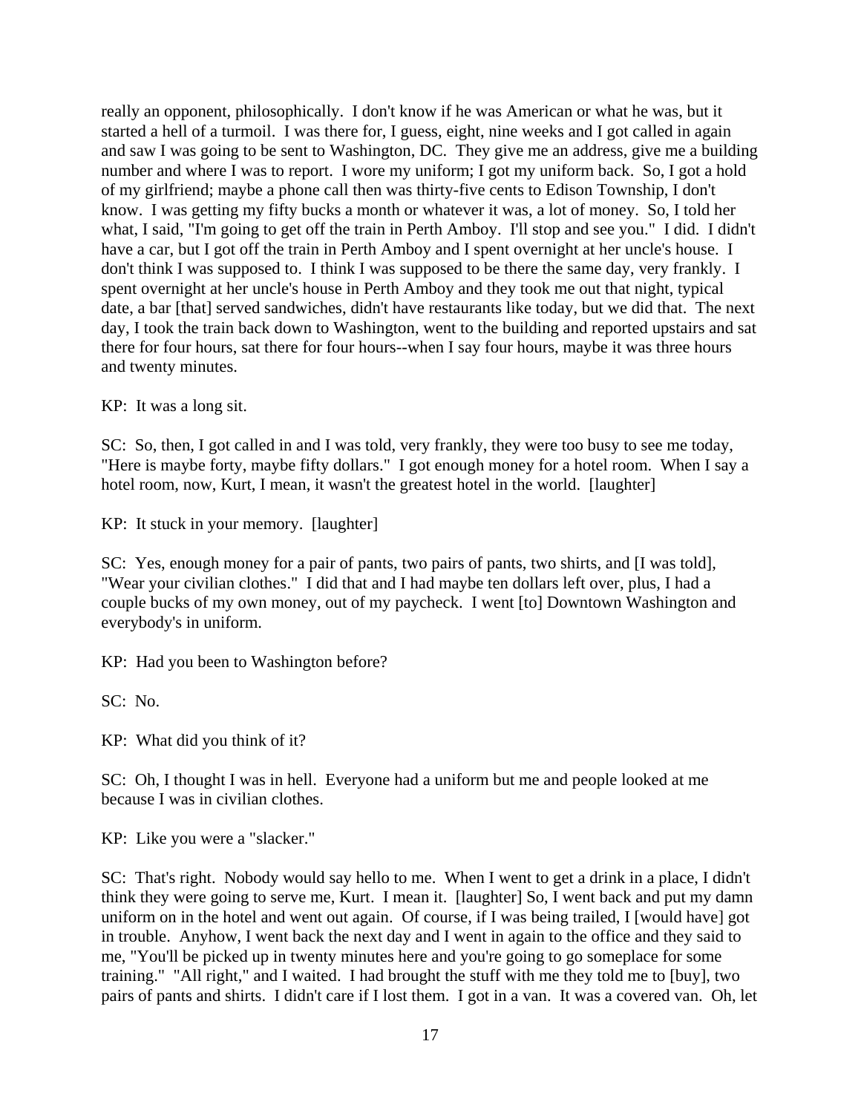really an opponent, philosophically. I don't know if he was American or what he was, but it started a hell of a turmoil. I was there for, I guess, eight, nine weeks and I got called in again and saw I was going to be sent to Washington, DC. They give me an address, give me a building number and where I was to report. I wore my uniform; I got my uniform back. So, I got a hold of my girlfriend; maybe a phone call then was thirty-five cents to Edison Township, I don't know. I was getting my fifty bucks a month or whatever it was, a lot of money. So, I told her what, I said, "I'm going to get off the train in Perth Amboy. I'll stop and see you." I did. I didn't have a car, but I got off the train in Perth Amboy and I spent overnight at her uncle's house. I don't think I was supposed to. I think I was supposed to be there the same day, very frankly. I spent overnight at her uncle's house in Perth Amboy and they took me out that night, typical date, a bar [that] served sandwiches, didn't have restaurants like today, but we did that. The next day, I took the train back down to Washington, went to the building and reported upstairs and sat there for four hours, sat there for four hours--when I say four hours, maybe it was three hours and twenty minutes.

KP: It was a long sit.

SC: So, then, I got called in and I was told, very frankly, they were too busy to see me today, "Here is maybe forty, maybe fifty dollars." I got enough money for a hotel room. When I say a hotel room, now, Kurt, I mean, it wasn't the greatest hotel in the world. [laughter]

KP: It stuck in your memory. [laughter]

SC: Yes, enough money for a pair of pants, two pairs of pants, two shirts, and [I was told], "Wear your civilian clothes." I did that and I had maybe ten dollars left over, plus, I had a couple bucks of my own money, out of my paycheck. I went [to] Downtown Washington and everybody's in uniform.

KP: Had you been to Washington before?

SC: No.

KP: What did you think of it?

SC: Oh, I thought I was in hell. Everyone had a uniform but me and people looked at me because I was in civilian clothes.

KP: Like you were a "slacker."

SC: That's right. Nobody would say hello to me. When I went to get a drink in a place, I didn't think they were going to serve me, Kurt. I mean it. [laughter] So, I went back and put my damn uniform on in the hotel and went out again. Of course, if I was being trailed, I [would have] got in trouble. Anyhow, I went back the next day and I went in again to the office and they said to me, "You'll be picked up in twenty minutes here and you're going to go someplace for some training." "All right," and I waited. I had brought the stuff with me they told me to [buy], two pairs of pants and shirts. I didn't care if I lost them. I got in a van. It was a covered van. Oh, let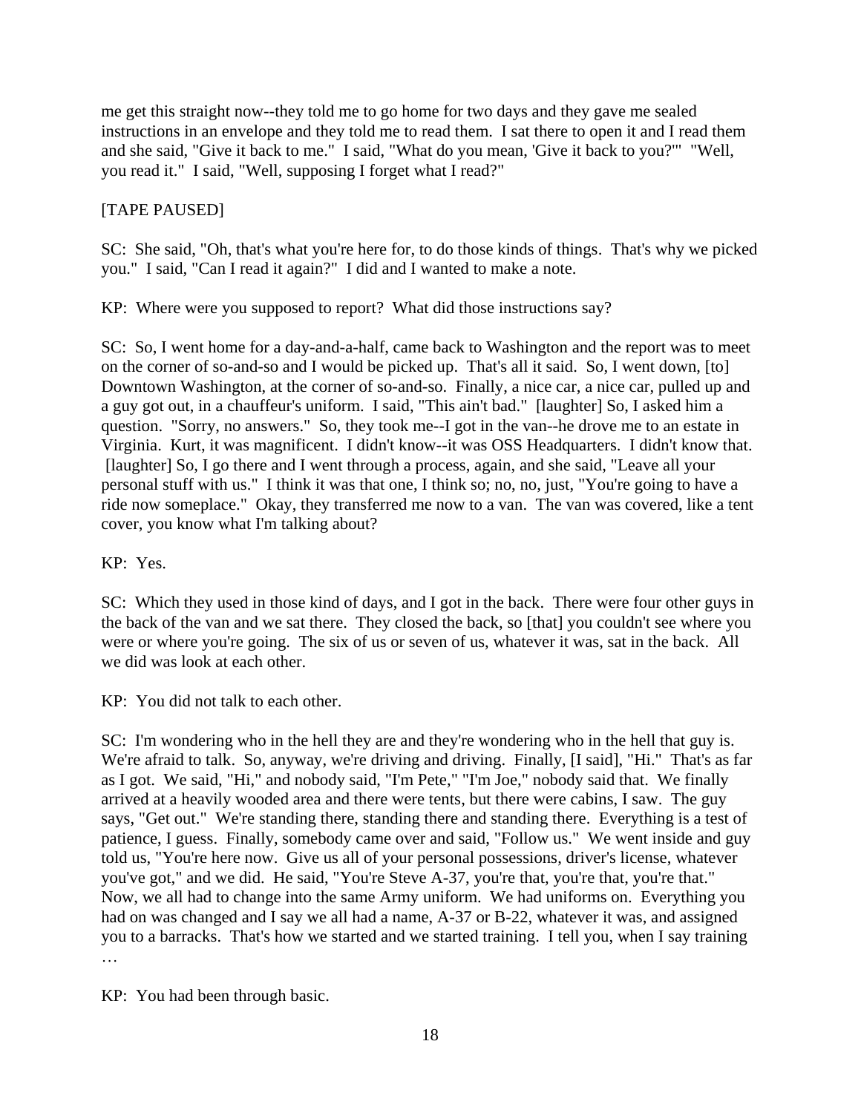me get this straight now--they told me to go home for two days and they gave me sealed instructions in an envelope and they told me to read them. I sat there to open it and I read them and she said, "Give it back to me." I said, "What do you mean, 'Give it back to you?'" "Well, you read it." I said, "Well, supposing I forget what I read?"

## [TAPE PAUSED]

SC: She said, "Oh, that's what you're here for, to do those kinds of things. That's why we picked you." I said, "Can I read it again?" I did and I wanted to make a note.

KP: Where were you supposed to report? What did those instructions say?

SC: So, I went home for a day-and-a-half, came back to Washington and the report was to meet on the corner of so-and-so and I would be picked up. That's all it said. So, I went down, [to] Downtown Washington, at the corner of so-and-so. Finally, a nice car, a nice car, pulled up and a guy got out, in a chauffeur's uniform. I said, "This ain't bad." [laughter] So, I asked him a question. "Sorry, no answers." So, they took me--I got in the van--he drove me to an estate in Virginia. Kurt, it was magnificent. I didn't know--it was OSS Headquarters. I didn't know that. [laughter] So, I go there and I went through a process, again, and she said, "Leave all your personal stuff with us." I think it was that one, I think so; no, no, just, "You're going to have a ride now someplace." Okay, they transferred me now to a van. The van was covered, like a tent cover, you know what I'm talking about?

KP: Yes.

SC: Which they used in those kind of days, and I got in the back. There were four other guys in the back of the van and we sat there. They closed the back, so [that] you couldn't see where you were or where you're going. The six of us or seven of us, whatever it was, sat in the back. All we did was look at each other.

KP: You did not talk to each other.

SC: I'm wondering who in the hell they are and they're wondering who in the hell that guy is. We're afraid to talk. So, anyway, we're driving and driving. Finally, [I said], "Hi." That's as far as I got. We said, "Hi," and nobody said, "I'm Pete," "I'm Joe," nobody said that. We finally arrived at a heavily wooded area and there were tents, but there were cabins, I saw. The guy says, "Get out." We're standing there, standing there and standing there. Everything is a test of patience, I guess. Finally, somebody came over and said, "Follow us." We went inside and guy told us, "You're here now. Give us all of your personal possessions, driver's license, whatever you've got," and we did. He said, "You're Steve A-37, you're that, you're that, you're that." Now, we all had to change into the same Army uniform. We had uniforms on. Everything you had on was changed and I say we all had a name, A-37 or B-22, whatever it was, and assigned you to a barracks. That's how we started and we started training. I tell you, when I say training …

KP: You had been through basic.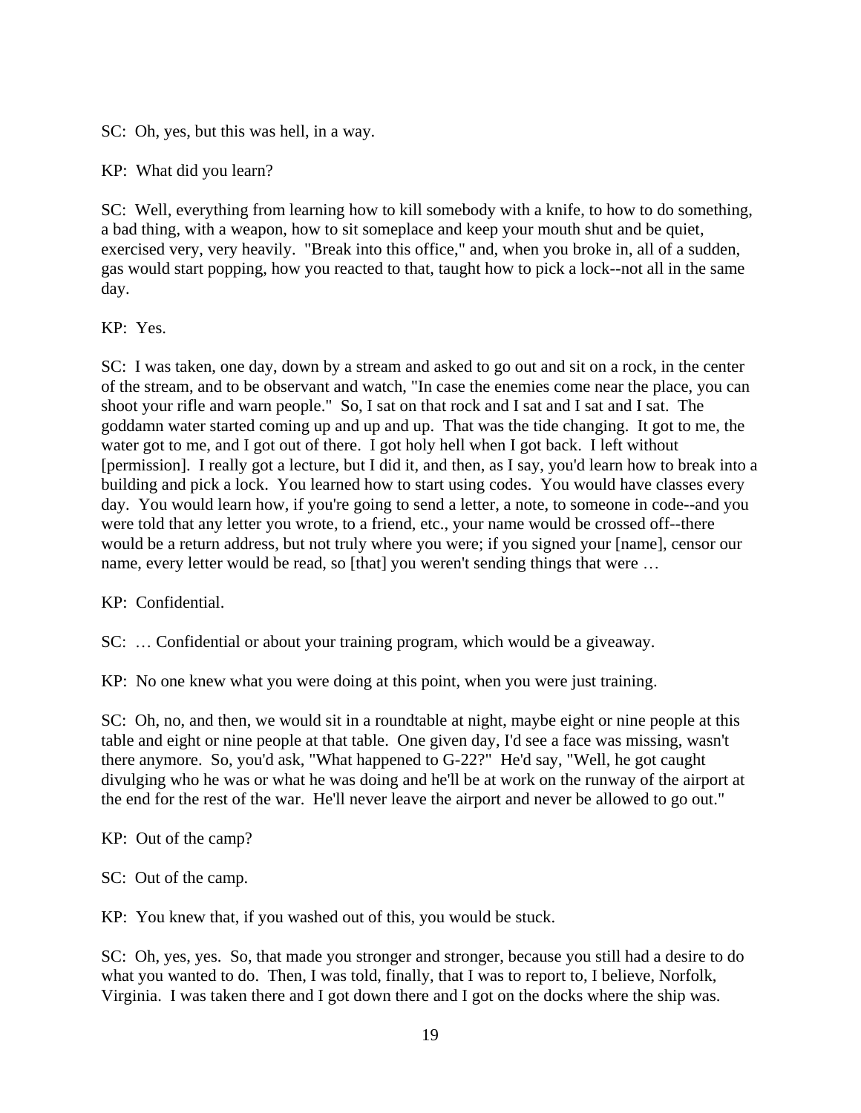SC: Oh, yes, but this was hell, in a way.

KP: What did you learn?

SC: Well, everything from learning how to kill somebody with a knife, to how to do something, a bad thing, with a weapon, how to sit someplace and keep your mouth shut and be quiet, exercised very, very heavily. "Break into this office," and, when you broke in, all of a sudden, gas would start popping, how you reacted to that, taught how to pick a lock--not all in the same day.

KP: Yes.

SC: I was taken, one day, down by a stream and asked to go out and sit on a rock, in the center of the stream, and to be observant and watch, "In case the enemies come near the place, you can shoot your rifle and warn people." So, I sat on that rock and I sat and I sat and I sat. The goddamn water started coming up and up and up. That was the tide changing. It got to me, the water got to me, and I got out of there. I got holy hell when I got back. I left without [permission]. I really got a lecture, but I did it, and then, as I say, you'd learn how to break into a building and pick a lock. You learned how to start using codes. You would have classes every day. You would learn how, if you're going to send a letter, a note, to someone in code--and you were told that any letter you wrote, to a friend, etc., your name would be crossed off--there would be a return address, but not truly where you were; if you signed your [name], censor our name, every letter would be read, so [that] you weren't sending things that were …

KP: Confidential.

SC: … Confidential or about your training program, which would be a giveaway.

KP: No one knew what you were doing at this point, when you were just training.

SC: Oh, no, and then, we would sit in a roundtable at night, maybe eight or nine people at this table and eight or nine people at that table. One given day, I'd see a face was missing, wasn't there anymore. So, you'd ask, "What happened to G-22?" He'd say, "Well, he got caught divulging who he was or what he was doing and he'll be at work on the runway of the airport at the end for the rest of the war. He'll never leave the airport and never be allowed to go out."

KP: Out of the camp?

SC: Out of the camp.

KP: You knew that, if you washed out of this, you would be stuck.

SC: Oh, yes, yes. So, that made you stronger and stronger, because you still had a desire to do what you wanted to do. Then, I was told, finally, that I was to report to, I believe, Norfolk, Virginia. I was taken there and I got down there and I got on the docks where the ship was.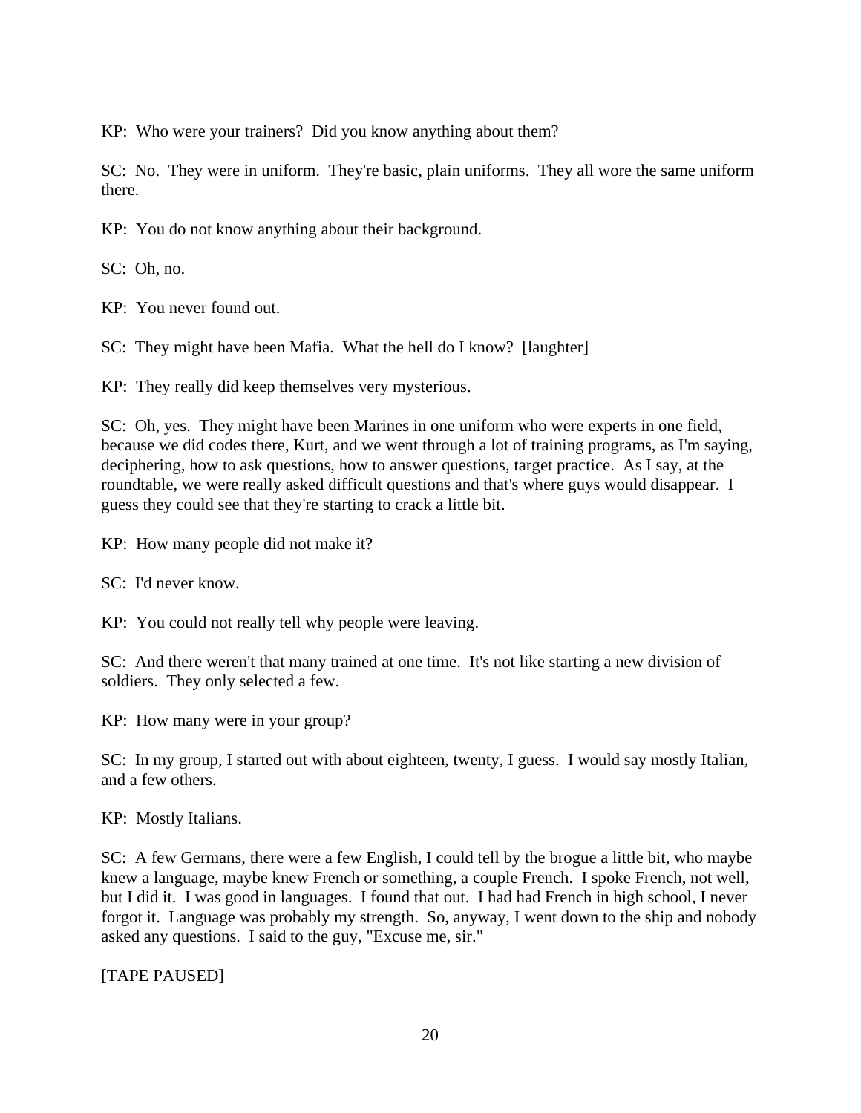KP: Who were your trainers? Did you know anything about them?

SC: No. They were in uniform. They're basic, plain uniforms. They all wore the same uniform there.

KP: You do not know anything about their background.

SC: Oh, no.

KP: You never found out.

SC: They might have been Mafia. What the hell do I know? [laughter]

KP: They really did keep themselves very mysterious.

SC: Oh, yes. They might have been Marines in one uniform who were experts in one field, because we did codes there, Kurt, and we went through a lot of training programs, as I'm saying, deciphering, how to ask questions, how to answer questions, target practice. As I say, at the roundtable, we were really asked difficult questions and that's where guys would disappear. I guess they could see that they're starting to crack a little bit.

KP: How many people did not make it?

SC: I'd never know.

KP: You could not really tell why people were leaving.

SC: And there weren't that many trained at one time. It's not like starting a new division of soldiers. They only selected a few.

KP: How many were in your group?

SC: In my group, I started out with about eighteen, twenty, I guess. I would say mostly Italian, and a few others.

KP: Mostly Italians.

SC: A few Germans, there were a few English, I could tell by the brogue a little bit, who maybe knew a language, maybe knew French or something, a couple French. I spoke French, not well, but I did it. I was good in languages. I found that out. I had had French in high school, I never forgot it. Language was probably my strength. So, anyway, I went down to the ship and nobody asked any questions. I said to the guy, "Excuse me, sir."

[TAPE PAUSED]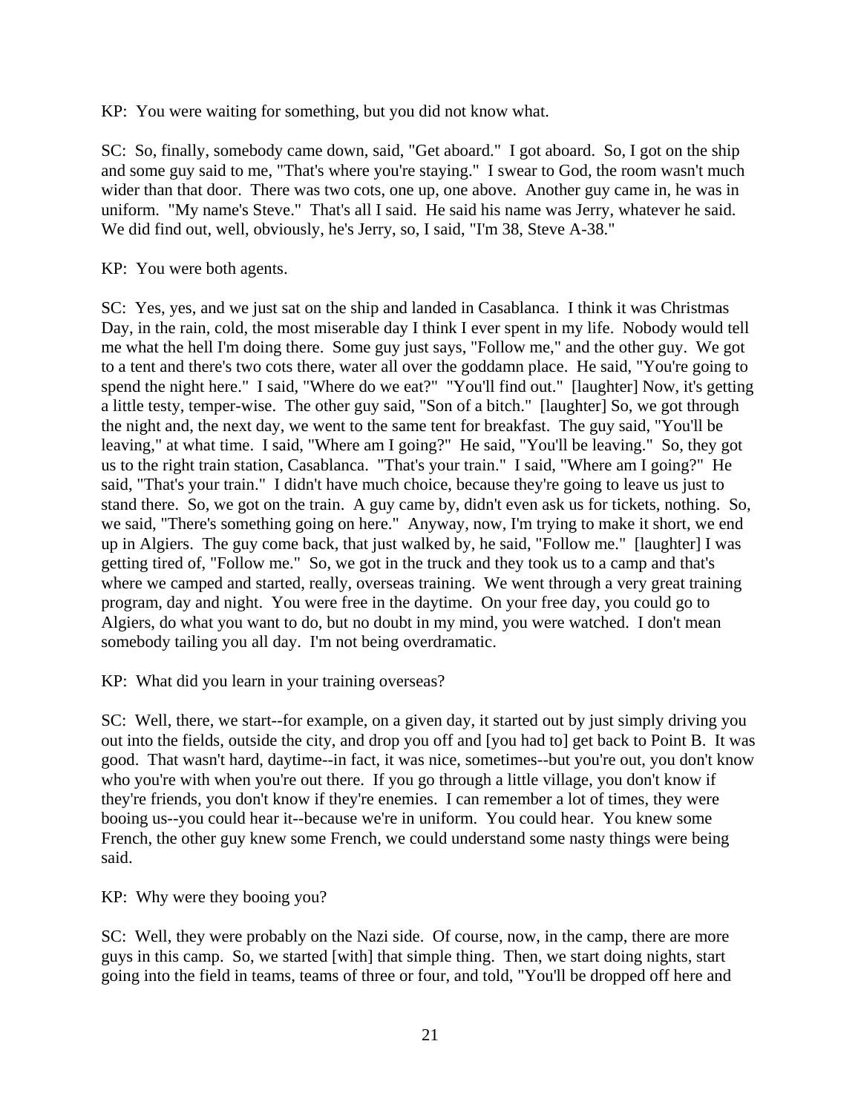KP: You were waiting for something, but you did not know what.

SC: So, finally, somebody came down, said, "Get aboard." I got aboard. So, I got on the ship and some guy said to me, "That's where you're staying." I swear to God, the room wasn't much wider than that door. There was two cots, one up, one above. Another guy came in, he was in uniform. "My name's Steve." That's all I said. He said his name was Jerry, whatever he said. We did find out, well, obviously, he's Jerry, so, I said, "I'm 38, Steve A-38."

KP: You were both agents.

SC: Yes, yes, and we just sat on the ship and landed in Casablanca. I think it was Christmas Day, in the rain, cold, the most miserable day I think I ever spent in my life. Nobody would tell me what the hell I'm doing there. Some guy just says, "Follow me," and the other guy. We got to a tent and there's two cots there, water all over the goddamn place. He said, "You're going to spend the night here." I said, "Where do we eat?" "You'll find out." [laughter] Now, it's getting a little testy, temper-wise. The other guy said, "Son of a bitch." [laughter] So, we got through the night and, the next day, we went to the same tent for breakfast. The guy said, "You'll be leaving," at what time. I said, "Where am I going?" He said, "You'll be leaving." So, they got us to the right train station, Casablanca. "That's your train." I said, "Where am I going?" He said, "That's your train." I didn't have much choice, because they're going to leave us just to stand there. So, we got on the train. A guy came by, didn't even ask us for tickets, nothing. So, we said, "There's something going on here." Anyway, now, I'm trying to make it short, we end up in Algiers. The guy come back, that just walked by, he said, "Follow me." [laughter] I was getting tired of, "Follow me." So, we got in the truck and they took us to a camp and that's where we camped and started, really, overseas training. We went through a very great training program, day and night. You were free in the daytime. On your free day, you could go to Algiers, do what you want to do, but no doubt in my mind, you were watched. I don't mean somebody tailing you all day. I'm not being overdramatic.

KP: What did you learn in your training overseas?

SC: Well, there, we start--for example, on a given day, it started out by just simply driving you out into the fields, outside the city, and drop you off and [you had to] get back to Point B. It was good. That wasn't hard, daytime--in fact, it was nice, sometimes--but you're out, you don't know who you're with when you're out there. If you go through a little village, you don't know if they're friends, you don't know if they're enemies. I can remember a lot of times, they were booing us--you could hear it--because we're in uniform. You could hear. You knew some French, the other guy knew some French, we could understand some nasty things were being said.

KP: Why were they booing you?

SC: Well, they were probably on the Nazi side. Of course, now, in the camp, there are more guys in this camp. So, we started [with] that simple thing. Then, we start doing nights, start going into the field in teams, teams of three or four, and told, "You'll be dropped off here and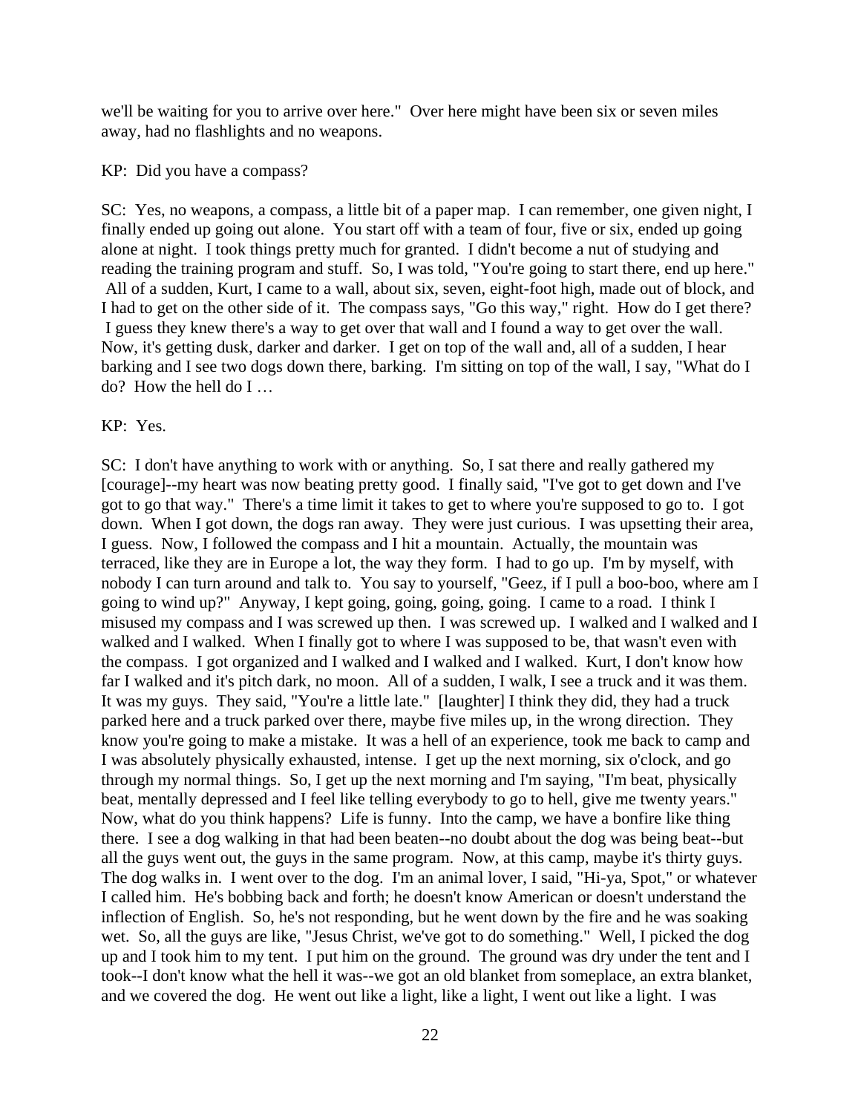we'll be waiting for you to arrive over here." Over here might have been six or seven miles away, had no flashlights and no weapons.

#### KP: Did you have a compass?

SC: Yes, no weapons, a compass, a little bit of a paper map. I can remember, one given night, I finally ended up going out alone. You start off with a team of four, five or six, ended up going alone at night. I took things pretty much for granted. I didn't become a nut of studying and reading the training program and stuff. So, I was told, "You're going to start there, end up here." All of a sudden, Kurt, I came to a wall, about six, seven, eight-foot high, made out of block, and I had to get on the other side of it. The compass says, "Go this way," right. How do I get there? I guess they knew there's a way to get over that wall and I found a way to get over the wall. Now, it's getting dusk, darker and darker. I get on top of the wall and, all of a sudden, I hear barking and I see two dogs down there, barking. I'm sitting on top of the wall, I say, "What do I do? How the hell do I …

KP: Yes.

SC: I don't have anything to work with or anything. So, I sat there and really gathered my [courage]--my heart was now beating pretty good. I finally said, "I've got to get down and I've got to go that way." There's a time limit it takes to get to where you're supposed to go to. I got down. When I got down, the dogs ran away. They were just curious. I was upsetting their area, I guess. Now, I followed the compass and I hit a mountain. Actually, the mountain was terraced, like they are in Europe a lot, the way they form. I had to go up. I'm by myself, with nobody I can turn around and talk to. You say to yourself, "Geez, if I pull a boo-boo, where am I going to wind up?" Anyway, I kept going, going, going, going. I came to a road. I think I misused my compass and I was screwed up then. I was screwed up. I walked and I walked and I walked and I walked. When I finally got to where I was supposed to be, that wasn't even with the compass. I got organized and I walked and I walked and I walked. Kurt, I don't know how far I walked and it's pitch dark, no moon. All of a sudden, I walk, I see a truck and it was them. It was my guys. They said, "You're a little late." [laughter] I think they did, they had a truck parked here and a truck parked over there, maybe five miles up, in the wrong direction. They know you're going to make a mistake. It was a hell of an experience, took me back to camp and I was absolutely physically exhausted, intense. I get up the next morning, six o'clock, and go through my normal things. So, I get up the next morning and I'm saying, "I'm beat, physically beat, mentally depressed and I feel like telling everybody to go to hell, give me twenty years." Now, what do you think happens? Life is funny. Into the camp, we have a bonfire like thing there. I see a dog walking in that had been beaten--no doubt about the dog was being beat--but all the guys went out, the guys in the same program. Now, at this camp, maybe it's thirty guys. The dog walks in. I went over to the dog. I'm an animal lover, I said, "Hi-ya, Spot," or whatever I called him. He's bobbing back and forth; he doesn't know American or doesn't understand the inflection of English. So, he's not responding, but he went down by the fire and he was soaking wet. So, all the guys are like, "Jesus Christ, we've got to do something." Well, I picked the dog up and I took him to my tent. I put him on the ground. The ground was dry under the tent and I took--I don't know what the hell it was--we got an old blanket from someplace, an extra blanket, and we covered the dog. He went out like a light, like a light, I went out like a light. I was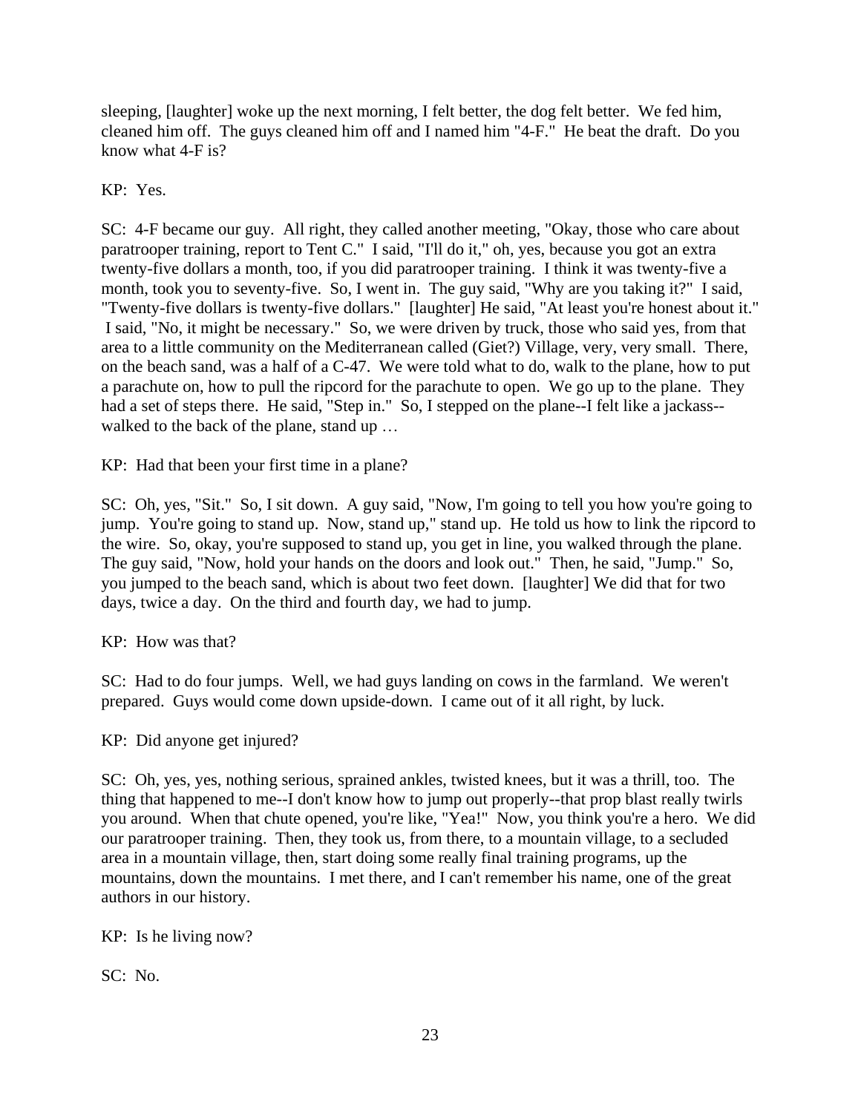sleeping, [laughter] woke up the next morning, I felt better, the dog felt better. We fed him, cleaned him off. The guys cleaned him off and I named him "4-F." He beat the draft. Do you know what 4-F is?

KP: Yes.

SC: 4-F became our guy. All right, they called another meeting, "Okay, those who care about paratrooper training, report to Tent C." I said, "I'll do it," oh, yes, because you got an extra twenty-five dollars a month, too, if you did paratrooper training. I think it was twenty-five a month, took you to seventy-five. So, I went in. The guy said, "Why are you taking it?" I said, "Twenty-five dollars is twenty-five dollars." [laughter] He said, "At least you're honest about it." I said, "No, it might be necessary." So, we were driven by truck, those who said yes, from that area to a little community on the Mediterranean called (Giet?) Village, very, very small. There, on the beach sand, was a half of a C-47. We were told what to do, walk to the plane, how to put a parachute on, how to pull the ripcord for the parachute to open. We go up to the plane. They had a set of steps there. He said, "Step in." So, I stepped on the plane--I felt like a jackass- walked to the back of the plane, stand up ...

KP: Had that been your first time in a plane?

SC: Oh, yes, "Sit." So, I sit down. A guy said, "Now, I'm going to tell you how you're going to jump. You're going to stand up. Now, stand up," stand up. He told us how to link the ripcord to the wire. So, okay, you're supposed to stand up, you get in line, you walked through the plane. The guy said, "Now, hold your hands on the doors and look out." Then, he said, "Jump." So, you jumped to the beach sand, which is about two feet down. [laughter] We did that for two days, twice a day. On the third and fourth day, we had to jump.

KP: How was that?

SC: Had to do four jumps. Well, we had guys landing on cows in the farmland. We weren't prepared. Guys would come down upside-down. I came out of it all right, by luck.

KP: Did anyone get injured?

SC: Oh, yes, yes, nothing serious, sprained ankles, twisted knees, but it was a thrill, too. The thing that happened to me--I don't know how to jump out properly--that prop blast really twirls you around. When that chute opened, you're like, "Yea!" Now, you think you're a hero. We did our paratrooper training. Then, they took us, from there, to a mountain village, to a secluded area in a mountain village, then, start doing some really final training programs, up the mountains, down the mountains. I met there, and I can't remember his name, one of the great authors in our history.

KP: Is he living now?

SC: No.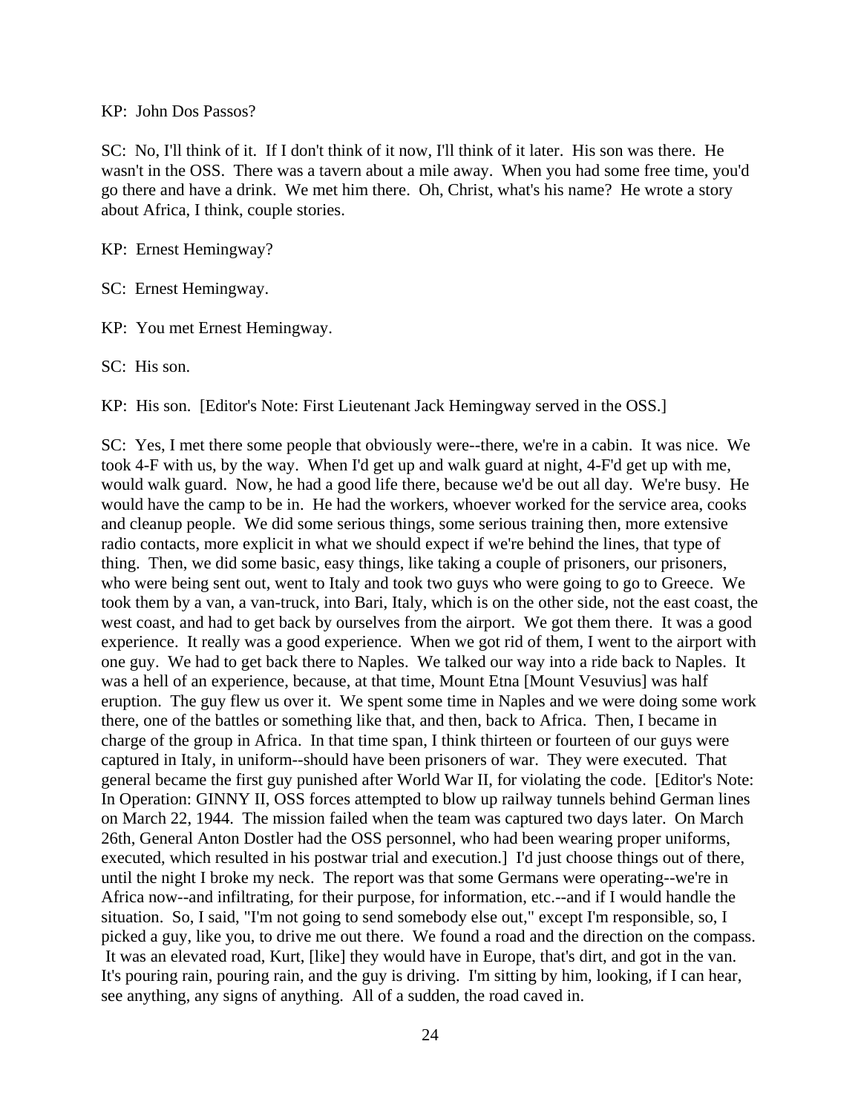#### KP: John Dos Passos?

SC: No, I'll think of it. If I don't think of it now, I'll think of it later. His son was there. He wasn't in the OSS. There was a tavern about a mile away. When you had some free time, you'd go there and have a drink. We met him there. Oh, Christ, what's his name? He wrote a story about Africa, I think, couple stories.

KP: Ernest Hemingway?

SC: Ernest Hemingway.

KP: You met Ernest Hemingway.

SC: His son.

KP: His son. [Editor's Note: First Lieutenant Jack Hemingway served in the OSS.]

SC: Yes, I met there some people that obviously were--there, we're in a cabin. It was nice. We took 4-F with us, by the way. When I'd get up and walk guard at night, 4-F'd get up with me, would walk guard. Now, he had a good life there, because we'd be out all day. We're busy. He would have the camp to be in. He had the workers, whoever worked for the service area, cooks and cleanup people. We did some serious things, some serious training then, more extensive radio contacts, more explicit in what we should expect if we're behind the lines, that type of thing. Then, we did some basic, easy things, like taking a couple of prisoners, our prisoners, who were being sent out, went to Italy and took two guys who were going to go to Greece. We took them by a van, a van-truck, into Bari, Italy, which is on the other side, not the east coast, the west coast, and had to get back by ourselves from the airport. We got them there. It was a good experience. It really was a good experience. When we got rid of them, I went to the airport with one guy. We had to get back there to Naples. We talked our way into a ride back to Naples. It was a hell of an experience, because, at that time, Mount Etna [Mount Vesuvius] was half eruption. The guy flew us over it. We spent some time in Naples and we were doing some work there, one of the battles or something like that, and then, back to Africa. Then, I became in charge of the group in Africa. In that time span, I think thirteen or fourteen of our guys were captured in Italy, in uniform--should have been prisoners of war. They were executed. That general became the first guy punished after World War II, for violating the code. [Editor's Note: In Operation: GINNY II, OSS forces attempted to blow up railway tunnels behind German lines on March 22, 1944. The mission failed when the team was captured two days later. On March 26th, General Anton Dostler had the OSS personnel, who had been wearing proper uniforms, executed, which resulted in his postwar trial and execution.] I'd just choose things out of there, until the night I broke my neck. The report was that some Germans were operating--we're in Africa now--and infiltrating, for their purpose, for information, etc.--and if I would handle the situation. So, I said, "I'm not going to send somebody else out," except I'm responsible, so, I picked a guy, like you, to drive me out there. We found a road and the direction on the compass. It was an elevated road, Kurt, [like] they would have in Europe, that's dirt, and got in the van. It's pouring rain, pouring rain, and the guy is driving. I'm sitting by him, looking, if I can hear, see anything, any signs of anything. All of a sudden, the road caved in.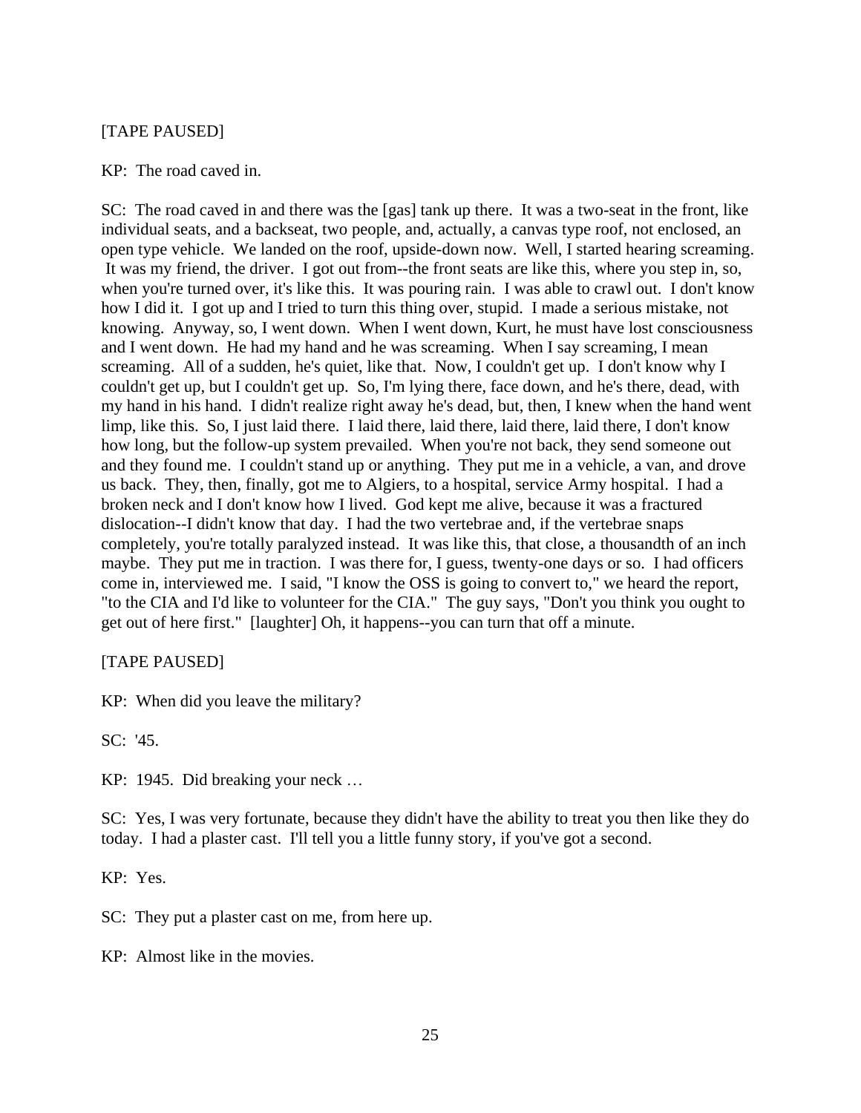## [TAPE PAUSED]

KP: The road caved in.

SC: The road caved in and there was the [gas] tank up there. It was a two-seat in the front, like individual seats, and a backseat, two people, and, actually, a canvas type roof, not enclosed, an open type vehicle. We landed on the roof, upside-down now. Well, I started hearing screaming. It was my friend, the driver. I got out from--the front seats are like this, where you step in, so, when you're turned over, it's like this. It was pouring rain. I was able to crawl out. I don't know how I did it. I got up and I tried to turn this thing over, stupid. I made a serious mistake, not knowing. Anyway, so, I went down. When I went down, Kurt, he must have lost consciousness and I went down. He had my hand and he was screaming. When I say screaming, I mean screaming. All of a sudden, he's quiet, like that. Now, I couldn't get up. I don't know why I couldn't get up, but I couldn't get up. So, I'm lying there, face down, and he's there, dead, with my hand in his hand. I didn't realize right away he's dead, but, then, I knew when the hand went limp, like this. So, I just laid there. I laid there, laid there, laid there, laid there, I don't know how long, but the follow-up system prevailed. When you're not back, they send someone out and they found me. I couldn't stand up or anything. They put me in a vehicle, a van, and drove us back. They, then, finally, got me to Algiers, to a hospital, service Army hospital. I had a broken neck and I don't know how I lived. God kept me alive, because it was a fractured dislocation--I didn't know that day. I had the two vertebrae and, if the vertebrae snaps completely, you're totally paralyzed instead. It was like this, that close, a thousandth of an inch maybe. They put me in traction. I was there for, I guess, twenty-one days or so. I had officers come in, interviewed me. I said, "I know the OSS is going to convert to," we heard the report, "to the CIA and I'd like to volunteer for the CIA." The guy says, "Don't you think you ought to get out of here first." [laughter] Oh, it happens--you can turn that off a minute.

## [TAPE PAUSED]

KP: When did you leave the military?

SC: '45.

KP: 1945. Did breaking your neck …

SC: Yes, I was very fortunate, because they didn't have the ability to treat you then like they do today. I had a plaster cast. I'll tell you a little funny story, if you've got a second.

KP: Yes.

SC: They put a plaster cast on me, from here up.

KP: Almost like in the movies.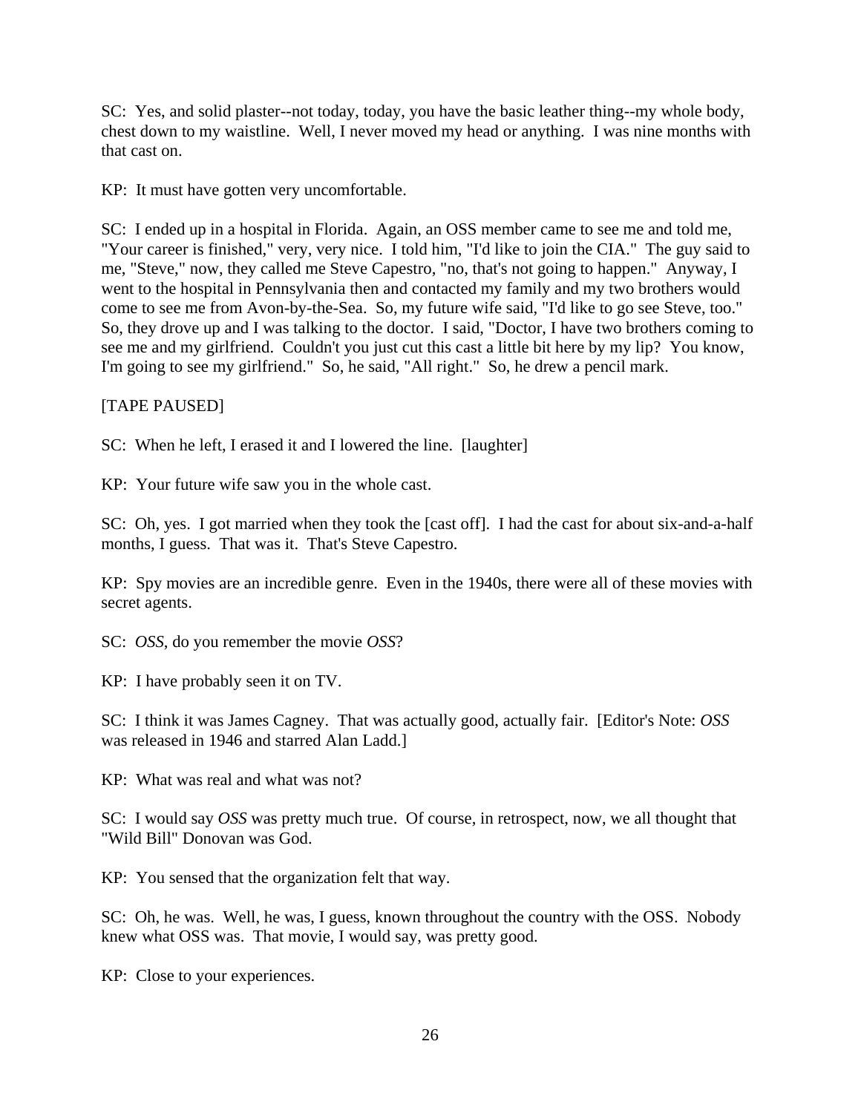SC: Yes, and solid plaster--not today, today, you have the basic leather thing--my whole body, chest down to my waistline. Well, I never moved my head or anything. I was nine months with that cast on.

KP: It must have gotten very uncomfortable.

SC: I ended up in a hospital in Florida. Again, an OSS member came to see me and told me, "Your career is finished," very, very nice. I told him, "I'd like to join the CIA." The guy said to me, "Steve," now, they called me Steve Capestro, "no, that's not going to happen." Anyway, I went to the hospital in Pennsylvania then and contacted my family and my two brothers would come to see me from Avon-by-the-Sea. So, my future wife said, "I'd like to go see Steve, too." So, they drove up and I was talking to the doctor. I said, "Doctor, I have two brothers coming to see me and my girlfriend. Couldn't you just cut this cast a little bit here by my lip? You know, I'm going to see my girlfriend." So, he said, "All right." So, he drew a pencil mark.

[TAPE PAUSED]

SC: When he left, I erased it and I lowered the line. [laughter]

KP: Your future wife saw you in the whole cast.

SC: Oh, yes. I got married when they took the [cast off]. I had the cast for about six-and-a-half months, I guess. That was it. That's Steve Capestro.

KP: Spy movies are an incredible genre. Even in the 1940s, there were all of these movies with secret agents.

SC: *OSS*, do you remember the movie *OSS*?

KP: I have probably seen it on TV.

SC: I think it was James Cagney. That was actually good, actually fair. [Editor's Note: *OSS* was released in 1946 and starred Alan Ladd.]

KP: What was real and what was not?

SC: I would say *OSS* was pretty much true. Of course, in retrospect, now, we all thought that "Wild Bill" Donovan was God.

KP: You sensed that the organization felt that way.

SC: Oh, he was. Well, he was, I guess, known throughout the country with the OSS. Nobody knew what OSS was. That movie, I would say, was pretty good.

KP: Close to your experiences.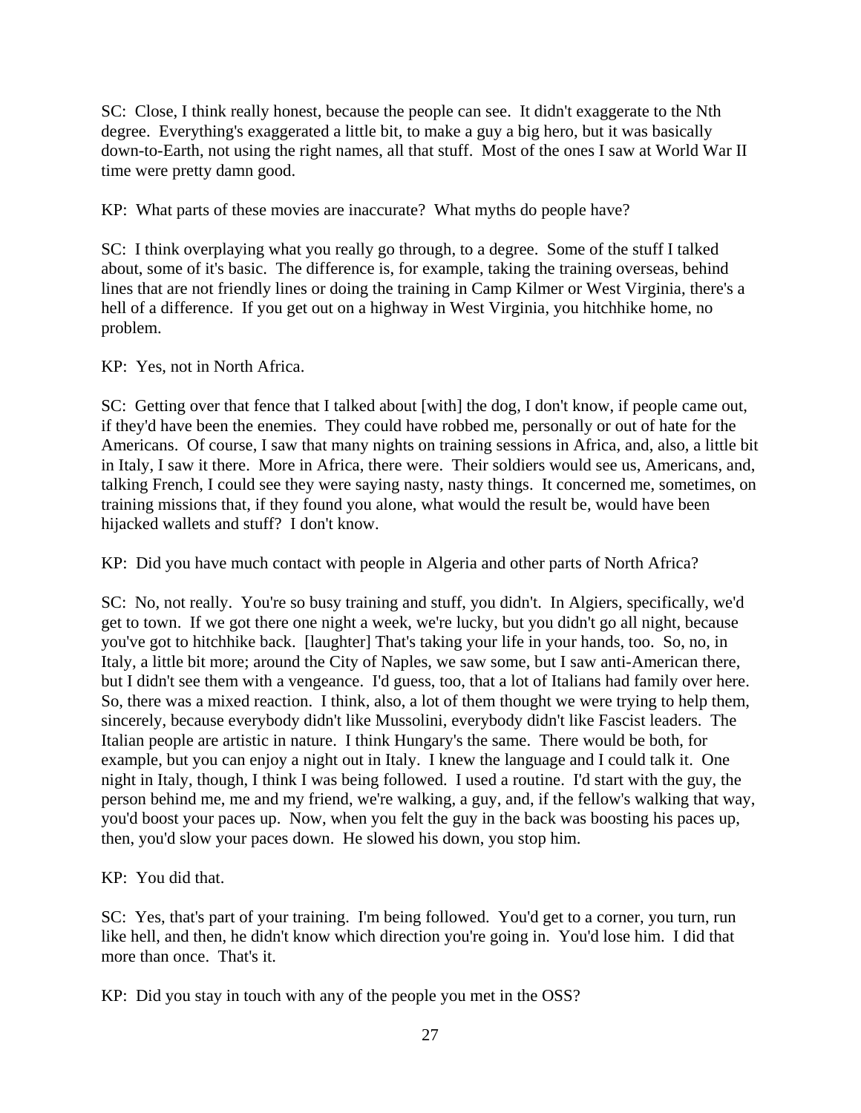SC: Close, I think really honest, because the people can see. It didn't exaggerate to the Nth degree. Everything's exaggerated a little bit, to make a guy a big hero, but it was basically down-to-Earth, not using the right names, all that stuff. Most of the ones I saw at World War II time were pretty damn good.

KP: What parts of these movies are inaccurate? What myths do people have?

SC: I think overplaying what you really go through, to a degree. Some of the stuff I talked about, some of it's basic. The difference is, for example, taking the training overseas, behind lines that are not friendly lines or doing the training in Camp Kilmer or West Virginia, there's a hell of a difference. If you get out on a highway in West Virginia, you hitchhike home, no problem.

KP: Yes, not in North Africa.

SC: Getting over that fence that I talked about [with] the dog, I don't know, if people came out, if they'd have been the enemies. They could have robbed me, personally or out of hate for the Americans. Of course, I saw that many nights on training sessions in Africa, and, also, a little bit in Italy, I saw it there. More in Africa, there were. Their soldiers would see us, Americans, and, talking French, I could see they were saying nasty, nasty things. It concerned me, sometimes, on training missions that, if they found you alone, what would the result be, would have been hijacked wallets and stuff? I don't know.

KP: Did you have much contact with people in Algeria and other parts of North Africa?

SC: No, not really. You're so busy training and stuff, you didn't. In Algiers, specifically, we'd get to town. If we got there one night a week, we're lucky, but you didn't go all night, because you've got to hitchhike back. [laughter] That's taking your life in your hands, too. So, no, in Italy, a little bit more; around the City of Naples, we saw some, but I saw anti-American there, but I didn't see them with a vengeance. I'd guess, too, that a lot of Italians had family over here. So, there was a mixed reaction. I think, also, a lot of them thought we were trying to help them, sincerely, because everybody didn't like Mussolini, everybody didn't like Fascist leaders. The Italian people are artistic in nature. I think Hungary's the same. There would be both, for example, but you can enjoy a night out in Italy. I knew the language and I could talk it. One night in Italy, though, I think I was being followed. I used a routine. I'd start with the guy, the person behind me, me and my friend, we're walking, a guy, and, if the fellow's walking that way, you'd boost your paces up. Now, when you felt the guy in the back was boosting his paces up, then, you'd slow your paces down. He slowed his down, you stop him.

KP: You did that.

SC: Yes, that's part of your training. I'm being followed. You'd get to a corner, you turn, run like hell, and then, he didn't know which direction you're going in. You'd lose him. I did that more than once. That's it.

KP: Did you stay in touch with any of the people you met in the OSS?